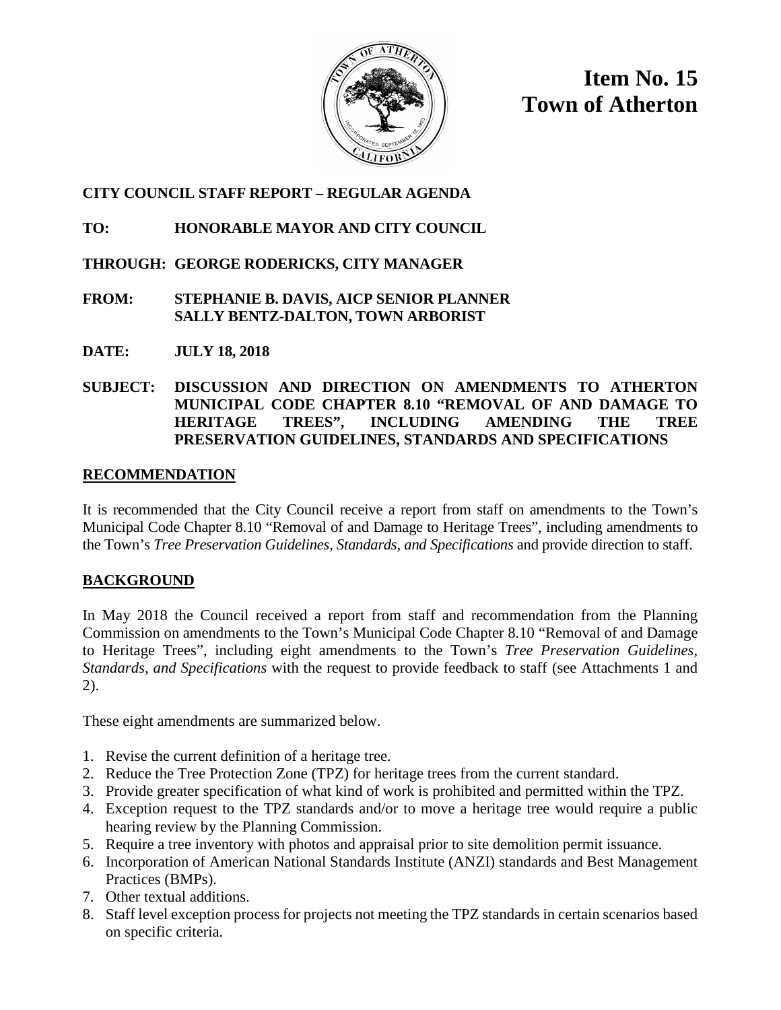

**Item No. 15 Town of Atherton**

## **CITY COUNCIL STAFF REPORT – REGULAR AGENDA**

## **TO: HONORABLE MAYOR AND CITY COUNCIL**

## **THROUGH: GEORGE RODERICKS, CITY MANAGER**

- **FROM: STEPHANIE B. DAVIS, AICP SENIOR PLANNER SALLY BENTZ-DALTON, TOWN ARBORIST**
- **DATE: JULY 18, 2018**

## **SUBJECT: DISCUSSION AND DIRECTION ON AMENDMENTS TO ATHERTON MUNICIPAL CODE CHAPTER 8.10 "REMOVAL OF AND DAMAGE TO HERITAGE TREES", INCLUDING AMENDING THE TREE PRESERVATION GUIDELINES, STANDARDS AND SPECIFICATIONS**

## **RECOMMENDATION**

It is recommended that the City Council receive a report from staff on amendments to the Town's Municipal Code Chapter 8.10 "Removal of and Damage to Heritage Trees", including amendments to the Town's *Tree Preservation Guidelines, Standards, and Specifications* and provide direction to staff.

## **BACKGROUND**

In May 2018 the Council received a report from staff and recommendation from the Planning Commission on amendments to the Town's Municipal Code Chapter 8.10 "Removal of and Damage to Heritage Trees", including eight amendments to the Town's *Tree Preservation Guidelines, Standards, and Specifications* with the request to provide feedback to staff (see Attachments 1 and 2).

These eight amendments are summarized below.

- 1. Revise the current definition of a heritage tree.
- 2. Reduce the Tree Protection Zone (TPZ) for heritage trees from the current standard.
- 3. Provide greater specification of what kind of work is prohibited and permitted within the TPZ.
- 4. Exception request to the TPZ standards and/or to move a heritage tree would require a public hearing review by the Planning Commission.
- 5. Require a tree inventory with photos and appraisal prior to site demolition permit issuance.
- 6. Incorporation of American National Standards Institute (ANZI) standards and Best Management Practices (BMPs).
- 7. Other textual additions.
- 8. Staff level exception process for projects not meeting the TPZ standards in certain scenarios based on specific criteria.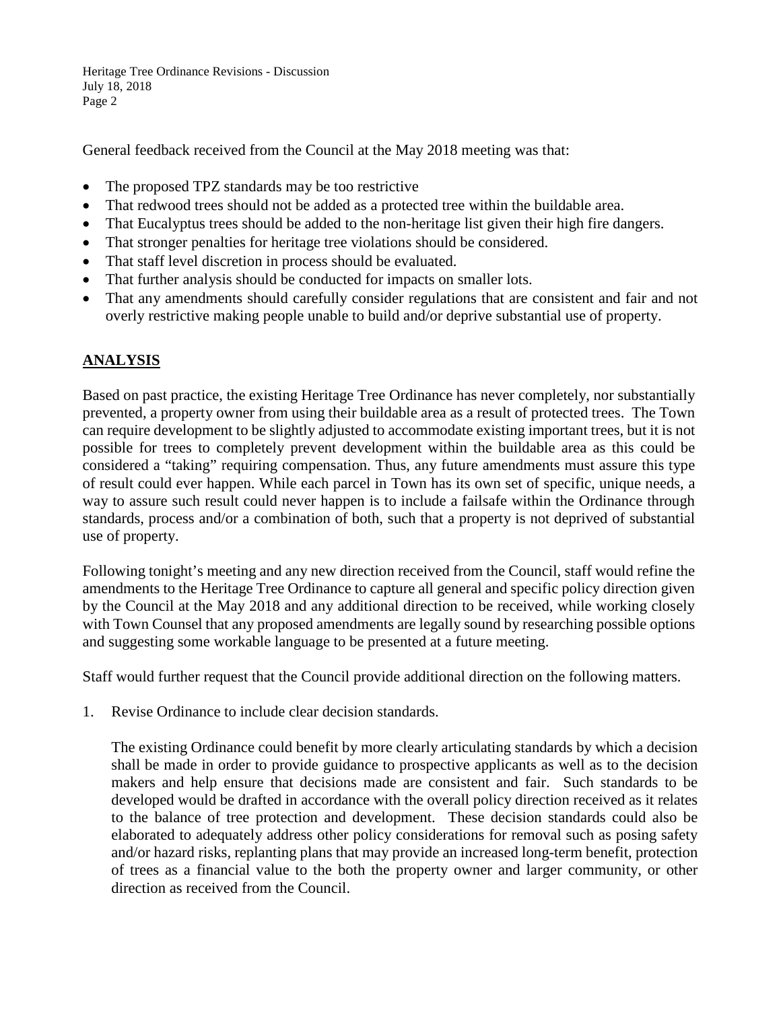Heritage Tree Ordinance Revisions - Discussion July 18, 2018 Page 2

General feedback received from the Council at the May 2018 meeting was that:

- The proposed TPZ standards may be too restrictive
- That redwood trees should not be added as a protected tree within the buildable area.
- That Eucalyptus trees should be added to the non-heritage list given their high fire dangers.
- That stronger penalties for heritage tree violations should be considered.
- That staff level discretion in process should be evaluated.
- That further analysis should be conducted for impacts on smaller lots.
- That any amendments should carefully consider regulations that are consistent and fair and not overly restrictive making people unable to build and/or deprive substantial use of property.

## **ANALYSIS**

Based on past practice, the existing Heritage Tree Ordinance has never completely, nor substantially prevented, a property owner from using their buildable area as a result of protected trees. The Town can require development to be slightly adjusted to accommodate existing important trees, but it is not possible for trees to completely prevent development within the buildable area as this could be considered a "taking" requiring compensation. Thus, any future amendments must assure this type of result could ever happen. While each parcel in Town has its own set of specific, unique needs, a way to assure such result could never happen is to include a failsafe within the Ordinance through standards, process and/or a combination of both, such that a property is not deprived of substantial use of property.

Following tonight's meeting and any new direction received from the Council, staff would refine the amendments to the Heritage Tree Ordinance to capture all general and specific policy direction given by the Council at the May 2018 and any additional direction to be received, while working closely with Town Counsel that any proposed amendments are legally sound by researching possible options and suggesting some workable language to be presented at a future meeting.

Staff would further request that the Council provide additional direction on the following matters.

1. Revise Ordinance to include clear decision standards.

The existing Ordinance could benefit by more clearly articulating standards by which a decision shall be made in order to provide guidance to prospective applicants as well as to the decision makers and help ensure that decisions made are consistent and fair. Such standards to be developed would be drafted in accordance with the overall policy direction received as it relates to the balance of tree protection and development. These decision standards could also be elaborated to adequately address other policy considerations for removal such as posing safety and/or hazard risks, replanting plans that may provide an increased long-term benefit, protection of trees as a financial value to the both the property owner and larger community, or other direction as received from the Council.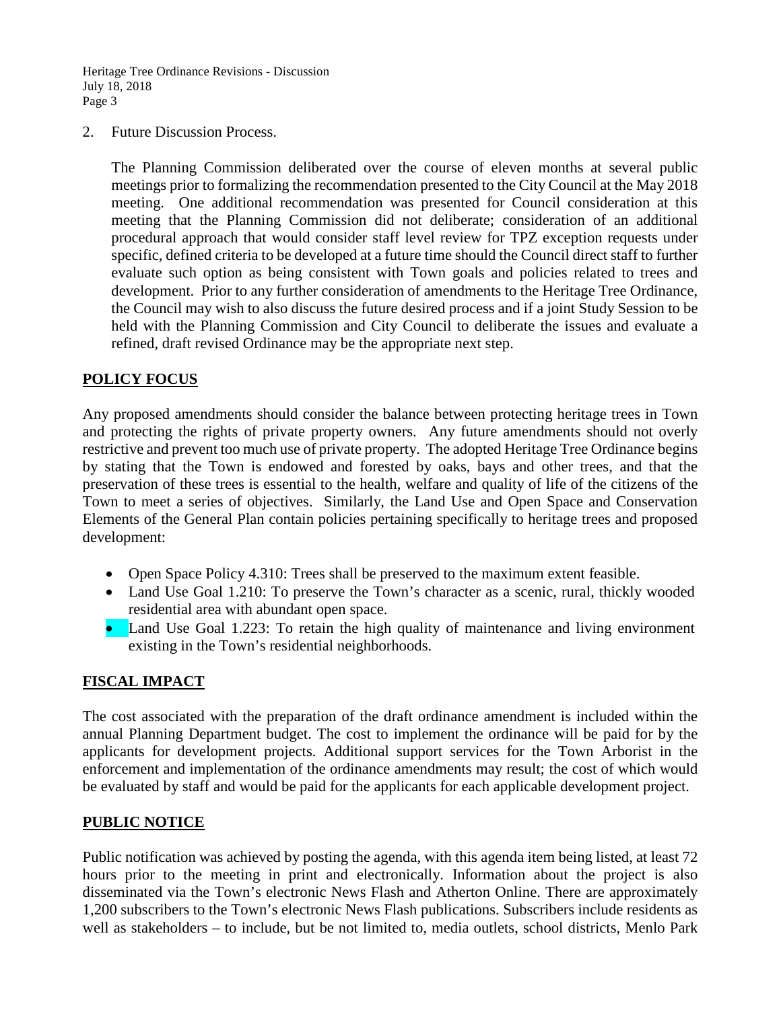Heritage Tree Ordinance Revisions - Discussion July 18, 2018 Page 3

2. Future Discussion Process.

The Planning Commission deliberated over the course of eleven months at several public meetings prior to formalizing the recommendation presented to the City Council at the May 2018 meeting. One additional recommendation was presented for Council consideration at this meeting that the Planning Commission did not deliberate; consideration of an additional procedural approach that would consider staff level review for TPZ exception requests under specific, defined criteria to be developed at a future time should the Council direct staff to further evaluate such option as being consistent with Town goals and policies related to trees and development. Prior to any further consideration of amendments to the Heritage Tree Ordinance, the Council may wish to also discuss the future desired process and if a joint Study Session to be held with the Planning Commission and City Council to deliberate the issues and evaluate a refined, draft revised Ordinance may be the appropriate next step.

## **POLICY FOCUS**

Any proposed amendments should consider the balance between protecting heritage trees in Town and protecting the rights of private property owners. Any future amendments should not overly restrictive and prevent too much use of private property. The adopted Heritage Tree Ordinance begins by stating that the Town is endowed and forested by oaks, bays and other trees, and that the preservation of these trees is essential to the health, welfare and quality of life of the citizens of the Town to meet a series of objectives. Similarly, the Land Use and Open Space and Conservation Elements of the General Plan contain policies pertaining specifically to heritage trees and proposed development:

- Open Space Policy 4.310: Trees shall be preserved to the maximum extent feasible.
- Land Use Goal 1.210: To preserve the Town's character as a scenic, rural, thickly wooded residential area with abundant open space.
- Land Use Goal 1.223: To retain the high quality of maintenance and living environment existing in the Town's residential neighborhoods.

## **FISCAL IMPACT**

The cost associated with the preparation of the draft ordinance amendment is included within the annual Planning Department budget. The cost to implement the ordinance will be paid for by the applicants for development projects. Additional support services for the Town Arborist in the enforcement and implementation of the ordinance amendments may result; the cost of which would be evaluated by staff and would be paid for the applicants for each applicable development project.

## **PUBLIC NOTICE**

Public notification was achieved by posting the agenda, with this agenda item being listed, at least 72 hours prior to the meeting in print and electronically. Information about the project is also disseminated via the Town's electronic News Flash and Atherton Online. There are approximately 1,200 subscribers to the Town's electronic News Flash publications. Subscribers include residents as well as stakeholders – to include, but be not limited to, media outlets, school districts, Menlo Park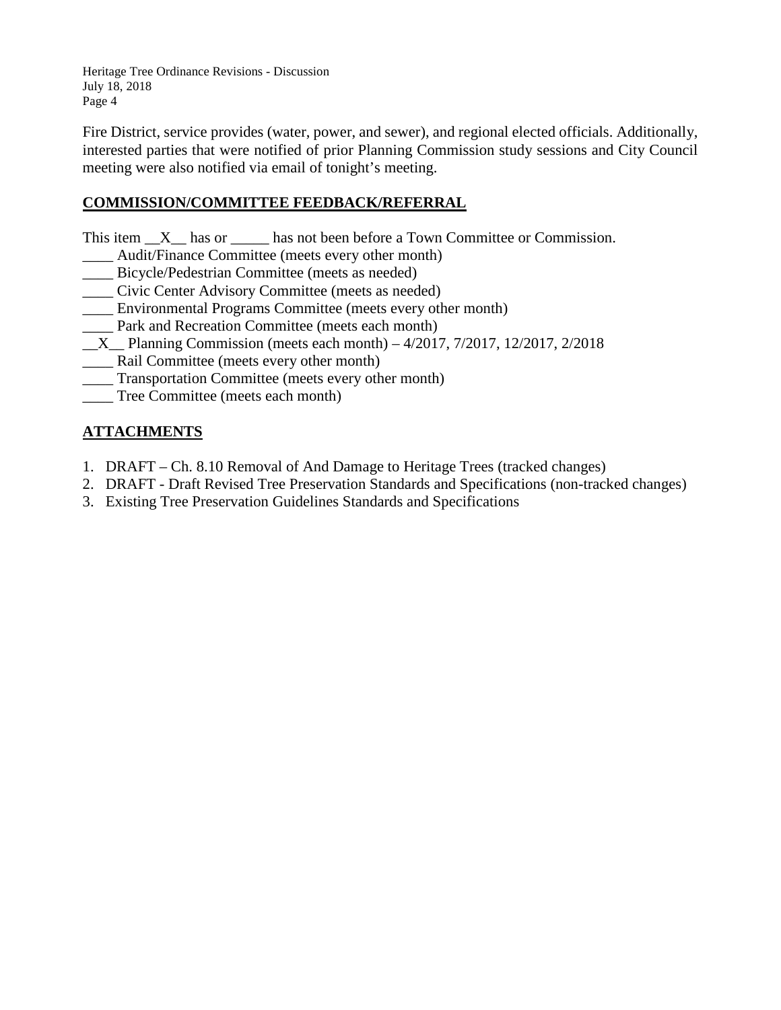Heritage Tree Ordinance Revisions - Discussion July 18, 2018 Page 4

Fire District, service provides (water, power, and sewer), and regional elected officials. Additionally, interested parties that were notified of prior Planning Commission study sessions and City Council meeting were also notified via email of tonight's meeting.

## **COMMISSION/COMMITTEE FEEDBACK/REFERRAL**

This item  $X$  has or has not been before a Town Committee or Commission.

- \_\_\_\_ Audit/Finance Committee (meets every other month)
- \_\_\_\_ Bicycle/Pedestrian Committee (meets as needed)
- \_\_\_\_ Civic Center Advisory Committee (meets as needed)
- \_\_\_\_ Environmental Programs Committee (meets every other month)
- Park and Recreation Committee (meets each month)
- $X$  Planning Commission (meets each month) 4/2017, 7/2017, 12/2017, 2/2018
- \_\_\_\_ Rail Committee (meets every other month)
- \_\_\_\_ Transportation Committee (meets every other month)
- \_\_\_\_ Tree Committee (meets each month)

## **ATTACHMENTS**

- 1. DRAFT Ch. 8.10 Removal of And Damage to Heritage Trees (tracked changes)
- 2. DRAFT Draft Revised Tree Preservation Standards and Specifications (non-tracked changes)
- 3. Existing Tree Preservation Guidelines Standards and Specifications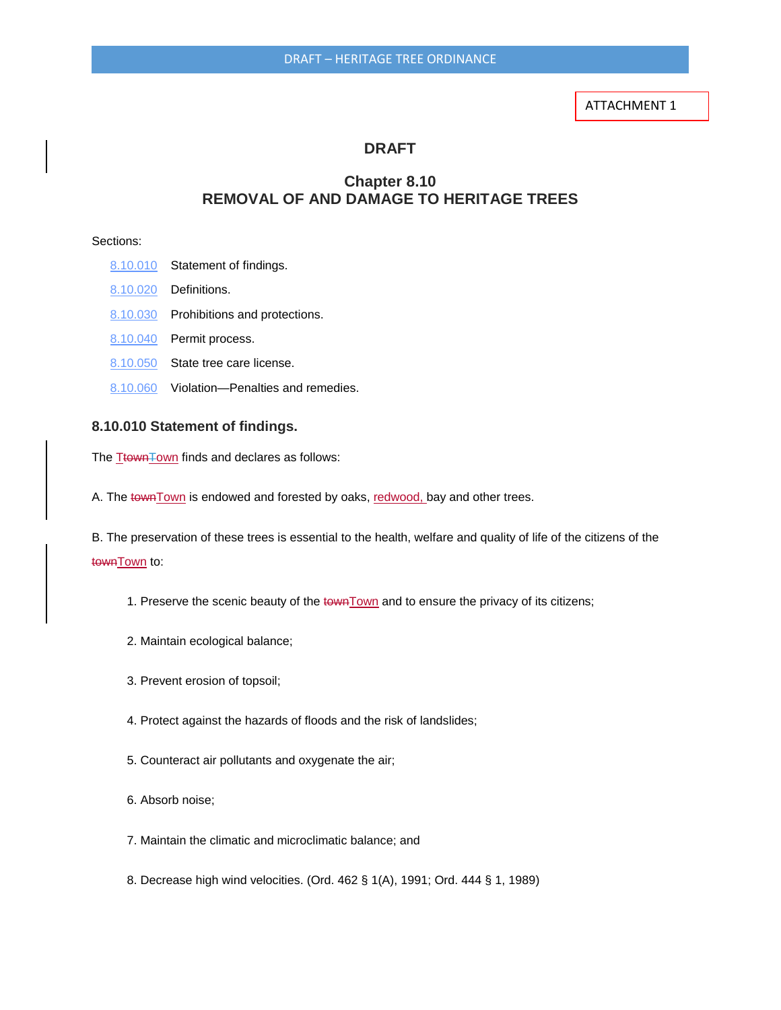#### ATTACHMENT 1

#### **DRAFT**

## **Chapter 8.10 REMOVAL OF AND DAMAGE TO HERITAGE TREES**

#### Sections:

- [8.10.010](http://www.codepublishing.com/CA/Atherton/html/Atherton08/Atherton0810.html#8.10.010) Statement of findings. [8.10.020](http://www.codepublishing.com/CA/Atherton/html/Atherton08/Atherton0810.html#8.10.020) Definitions. [8.10.030](http://www.codepublishing.com/CA/Atherton/html/Atherton08/Atherton0810.html#8.10.030) Prohibitions and protections. [8.10.040](http://www.codepublishing.com/CA/Atherton/html/Atherton08/Atherton0810.html#8.10.040) Permit process. [8.10.050](http://www.codepublishing.com/CA/Atherton/html/Atherton08/Atherton0810.html#8.10.050) State tree care license.
- [8.10.060](http://www.codepublishing.com/CA/Atherton/html/Atherton08/Atherton0810.html#8.10.060) Violation—Penalties and remedies.

#### **8.10.010 Statement of findings.**

The TtownTown finds and declares as follows:

A. The town Town is endowed and forested by oaks, redwood, bay and other trees.

B. The preservation of these trees is essential to the health, welfare and quality of life of the citizens of the town Town to:

1. Preserve the scenic beauty of the townTown and to ensure the privacy of its citizens;

- 2. Maintain ecological balance;
- 3. Prevent erosion of topsoil;
- 4. Protect against the hazards of floods and the risk of landslides;
- 5. Counteract air pollutants and oxygenate the air;
- 6. Absorb noise;
- 7. Maintain the climatic and microclimatic balance; and
- 8. Decrease high wind velocities. (Ord. 462 § 1(A), 1991; Ord. 444 § 1, 1989)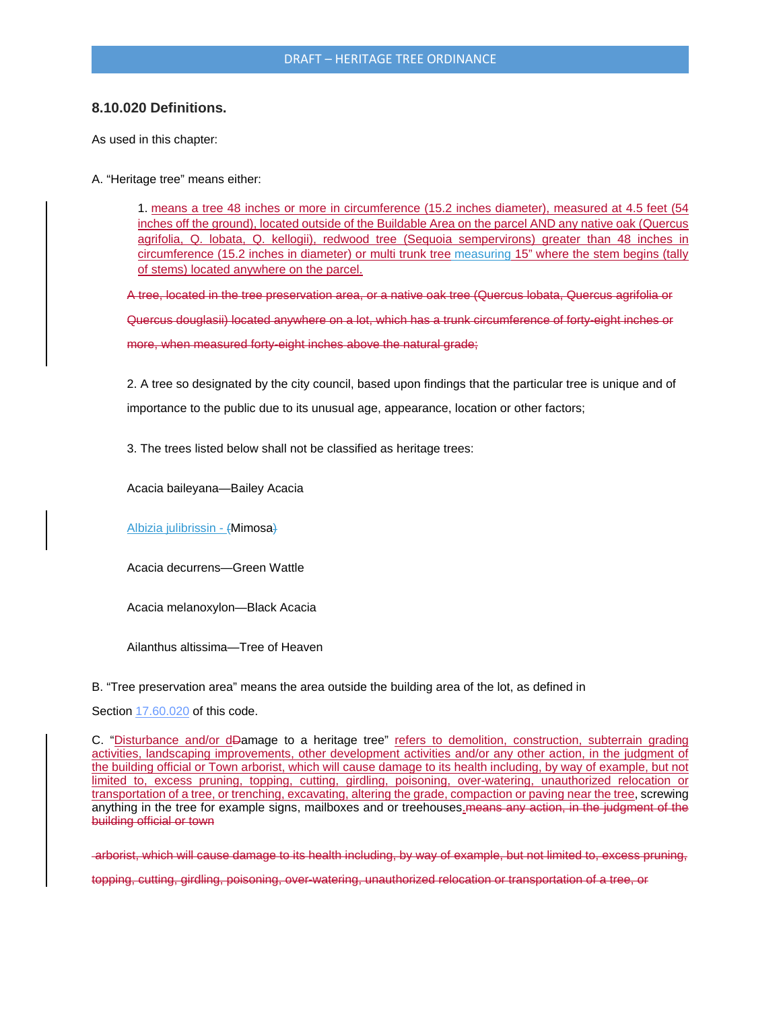#### DRAFT – HERITAGE TREE ORDINANCE

#### **8.10.020 Definitions.**

As used in this chapter:

A. "Heritage tree" means either:

1. means a tree 48 inches or more in circumference (15.2 inches diameter), measured at 4.5 feet (54 inches off the ground), located outside of the Buildable Area on the parcel AND any native oak (Quercus agrifolia, Q. lobata, Q. kellogii), redwood tree (Sequoia sempervirons) greater than 48 inches in circumference (15.2 inches in diameter) or multi trunk tree measuring 15" where the stem begins (tally of stems) located anywhere on the parcel.

A tree, located in the tree preservation area, or a native oak tree (Quercus lobata, Quercus agrifolia or Quercus douglasii) located anywhere on a lot, which has a trunk circumference of forty-eight inches or more, when measured forty-eight inches above the natural grade;

2. A tree so designated by the city council, based upon findings that the particular tree is unique and of importance to the public due to its unusual age, appearance, location or other factors;

3. The trees listed below shall not be classified as heritage trees:

Acacia baileyana—Bailey Acacia

Albizia julibrissin - (Mimosa)

Acacia decurrens—Green Wattle

Acacia melanoxylon—Black Acacia

Ailanthus altissima—Tree of Heaven

B. "Tree preservation area" means the area outside the building area of the lot, as defined in

Section [17.60.020](http://www.codepublishing.com/CA/Atherton/html/Atherton17/Atherton1760.html#17.60.020) of this code.

C. "Disturbance and/or dDamage to a heritage tree" refers to demolition, construction, subterrain grading activities, landscaping improvements, other development activities and/or any other action, in the judgment of the building official or Town arborist, which will cause damage to its health including, by way of example, but not limited to, excess pruning, topping, cutting, girdling, poisoning, over-watering, unauthorized relocation or transportation of a tree, or trenching, excavating, altering the grade, compaction or paving near the tree, screwing anything in the tree for example signs, mailboxes and or treehouses. means any action, in the judgment of the building official or town

arborist, which will cause damage to its health including, by way of example, but not limited to, excess pruning,

topping, cutting, girdling, poisoning, over-watering, unauthorized relocation or transportation of a tree, or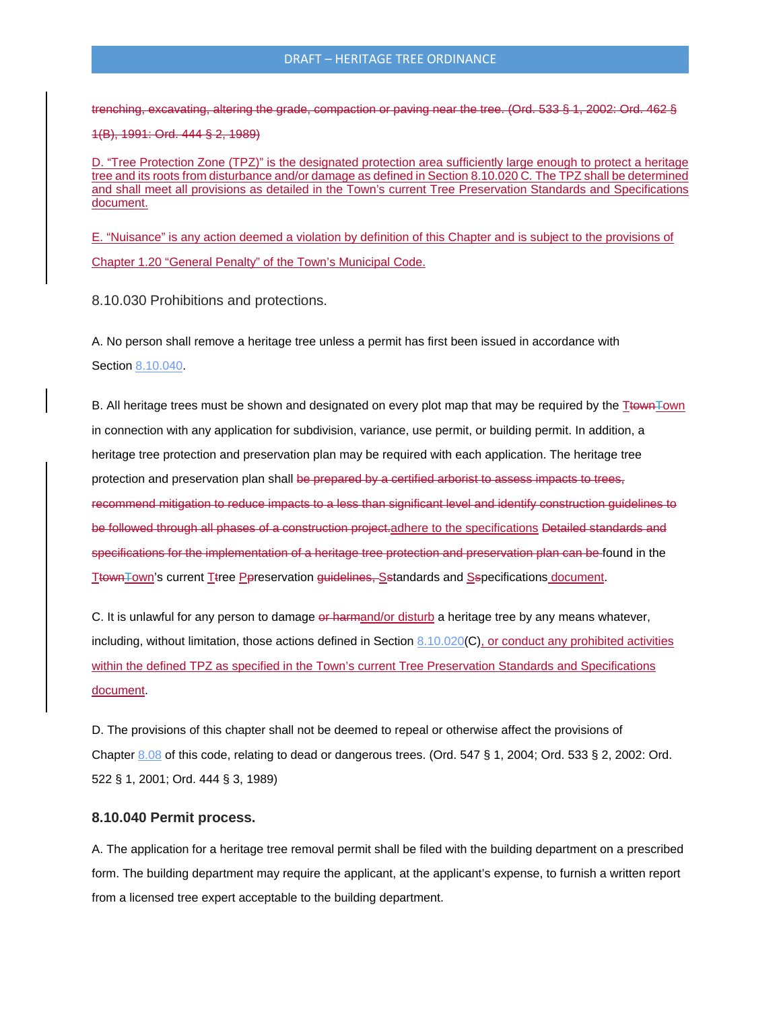trenching, excavating, altering the grade, compaction or paving near the tree. (Ord. 533 § 1, 2002: Ord. 462 § 1(B), 1991: Ord. 444 § 2, 1989)

D. "Tree Protection Zone (TPZ)" is the designated protection area sufficiently large enough to protect a heritage tree and its roots from disturbance and/or damage as defined in Section 8.10.020 C*.* The TPZ shall be determined and shall meet all provisions as detailed in the Town's current Tree Preservation Standards and Specifications document.

E. "Nuisance" is any action deemed a violation by definition of this Chapter and is subject to the provisions of Chapter 1.20 "General Penalty" of the Town's Municipal Code.

8.10.030 Prohibitions and protections.

A. No person shall remove a heritage tree unless a permit has first been issued in accordance with Section [8.10.040.](http://www.codepublishing.com/CA/Atherton/html/Atherton08/Atherton0810.html#8.10.040)

B. All heritage trees must be shown and designated on every plot map that may be required by the TtownTown in connection with any application for subdivision, variance, use permit, or building permit. In addition, a heritage tree protection and preservation plan may be required with each application. The heritage tree protection and preservation plan shall be prepared by a certified arborist to assess impacts to trees, recommend mitigation to reduce impacts to a less than significant level and identify construction guidelines to be followed through all phases of a construction project.adhere to the specifications Detailed standards and specifications for the implementation of a heritage tree protection and preservation plan can be found in the TtownTown's current Ttree Ppreservation guidelines, Sstandards and Sspecifications document.

C. It is unlawful for any person to damage or harmand/or disturb a heritage tree by any means whatever, including, without limitation, those actions defined in Section  $8.10.020(C)$  $8.10.020(C)$ , or conduct any prohibited activities within the defined TPZ as specified in the Town's current Tree Preservation Standards and Specifications document.

D. The provisions of this chapter shall not be deemed to repeal or otherwise affect the provisions of Chapter [8.08](http://www.codepublishing.com/CA/Atherton/html/Atherton08/Atherton0808.html#8.08) of this code, relating to dead or dangerous trees. (Ord. 547 § 1, 2004; Ord. 533 § 2, 2002: Ord. 522 § 1, 2001; Ord. 444 § 3, 1989)

#### **8.10.040 Permit process.**

A. The application for a heritage tree removal permit shall be filed with the building department on a prescribed form. The building department may require the applicant, at the applicant's expense, to furnish a written report from a licensed tree expert acceptable to the building department.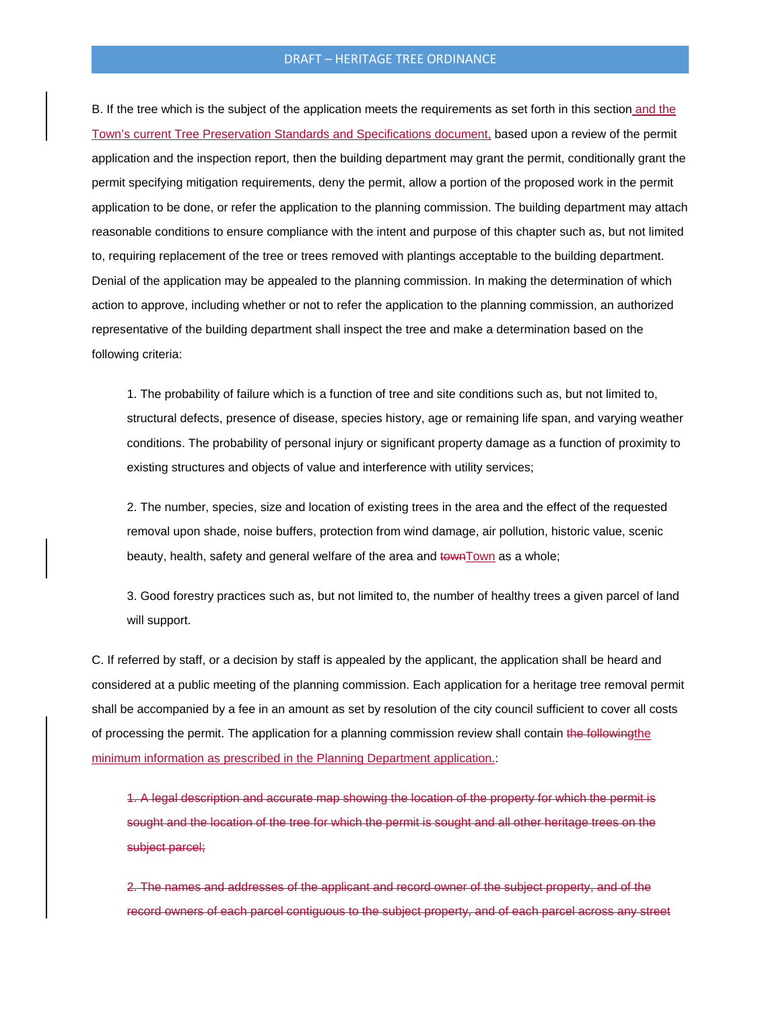#### DRAFT – HERITAGE TREE ORDINANCE

B. If the tree which is the subject of the application meets the requirements as set forth in this section and the Town's current Tree Preservation Standards and Specifications document, based upon a review of the permit application and the inspection report, then the building department may grant the permit, conditionally grant the permit specifying mitigation requirements, deny the permit, allow a portion of the proposed work in the permit application to be done, or refer the application to the planning commission. The building department may attach reasonable conditions to ensure compliance with the intent and purpose of this chapter such as, but not limited to, requiring replacement of the tree or trees removed with plantings acceptable to the building department. Denial of the application may be appealed to the planning commission. In making the determination of which action to approve, including whether or not to refer the application to the planning commission, an authorized representative of the building department shall inspect the tree and make a determination based on the following criteria:

1. The probability of failure which is a function of tree and site conditions such as, but not limited to, structural defects, presence of disease, species history, age or remaining life span, and varying weather conditions. The probability of personal injury or significant property damage as a function of proximity to existing structures and objects of value and interference with utility services;

2. The number, species, size and location of existing trees in the area and the effect of the requested removal upon shade, noise buffers, protection from wind damage, air pollution, historic value, scenic beauty, health, safety and general welfare of the area and townTown as a whole;

3. Good forestry practices such as, but not limited to, the number of healthy trees a given parcel of land will support.

C. If referred by staff, or a decision by staff is appealed by the applicant, the application shall be heard and considered at a public meeting of the planning commission. Each application for a heritage tree removal permit shall be accompanied by a fee in an amount as set by resolution of the city council sufficient to cover all costs of processing the permit. The application for a planning commission review shall contain the following the minimum information as prescribed in the Planning Department application.:

1. A legal description and accurate map showing the location of the property for which the permit is sought and the location of the tree for which the permit is sought and all other heritage trees on the subject parcel;

2. The names and addresses of the applicant and record owner of the subject property, and of the record owners of each parcel contiguous to the subject property, and of each parcel across any street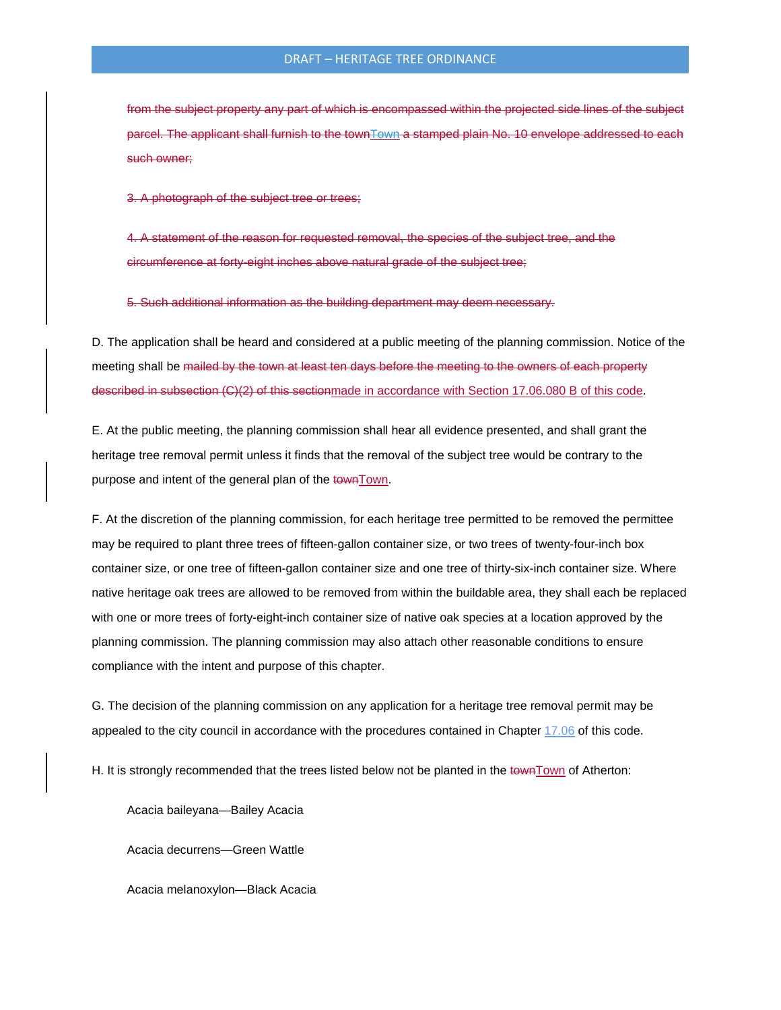from the subject property any part of which is encompassed within the projected side lines of the subject parcel. The applicant shall furnish to the townTown a stamped plain No. 10 envelope addressed to each such owner;

3. A photograph of the subject tree or trees;

4. A statement of the reason for requested removal, the species of the subject tree, and the circumference at forty-eight inches above natural grade of the subject tree;

5. Such additional information as the building department may deem necessary.

D. The application shall be heard and considered at a public meeting of the planning commission. Notice of the meeting shall be mailed by the town at least ten days before the meeting to the owners of each property described in subsection (C)(2) of this sectionmade in accordance with Section 17.06.080 B of this code.

E. At the public meeting, the planning commission shall hear all evidence presented, and shall grant the heritage tree removal permit unless it finds that the removal of the subject tree would be contrary to the purpose and intent of the general plan of the townTown.

F. At the discretion of the planning commission, for each heritage tree permitted to be removed the permittee may be required to plant three trees of fifteen-gallon container size, or two trees of twenty-four-inch box container size, or one tree of fifteen-gallon container size and one tree of thirty-six-inch container size. Where native heritage oak trees are allowed to be removed from within the buildable area, they shall each be replaced with one or more trees of forty-eight-inch container size of native oak species at a location approved by the planning commission. The planning commission may also attach other reasonable conditions to ensure compliance with the intent and purpose of this chapter.

G. The decision of the planning commission on any application for a heritage tree removal permit may be appealed to the city council in accordance with the procedures contained in Chapter [17.06](http://www.codepublishing.com/CA/Atherton/html/Atherton17/Atherton1706.html#17.06) of this code.

H. It is strongly recommended that the trees listed below not be planted in the townTown of Atherton:

Acacia baileyana—Bailey Acacia

Acacia decurrens—Green Wattle

Acacia melanoxylon—Black Acacia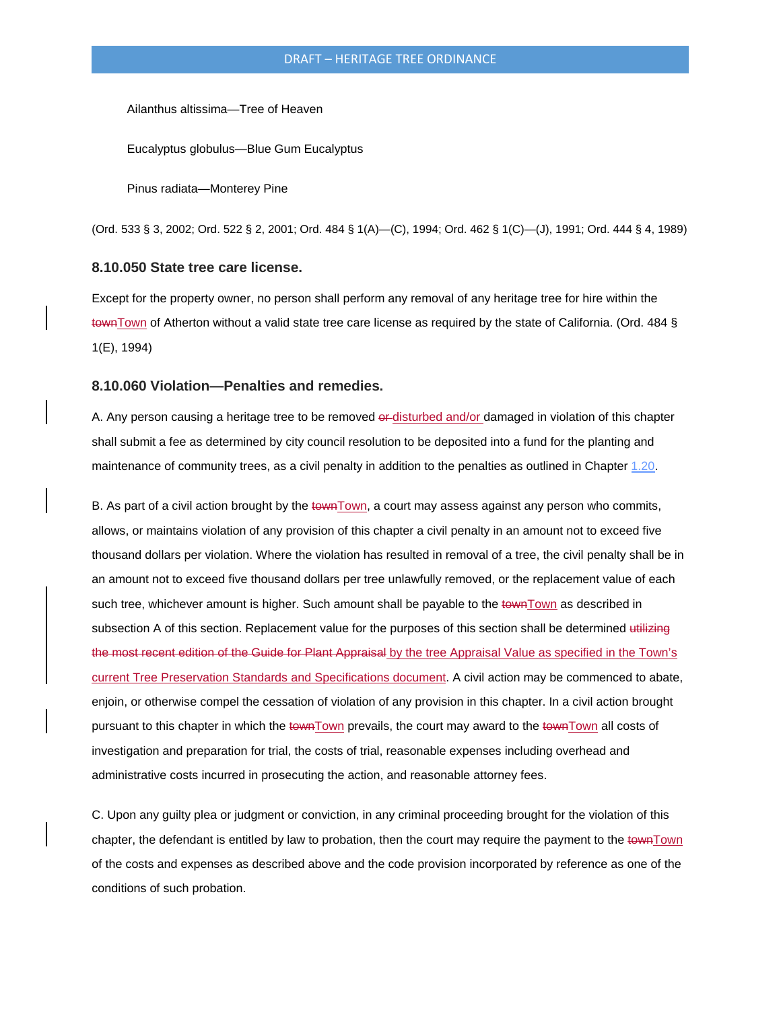Ailanthus altissima—Tree of Heaven

Eucalyptus globulus—Blue Gum Eucalyptus

Pinus radiata—Monterey Pine

(Ord. 533 § 3, 2002; Ord. 522 § 2, 2001; Ord. 484 § 1(A)—(C), 1994; Ord. 462 § 1(C)—(J), 1991; Ord. 444 § 4, 1989)

#### **8.10.050 State tree care license.**

Except for the property owner, no person shall perform any removal of any heritage tree for hire within the townTown of Atherton without a valid state tree care license as required by the state of California. (Ord. 484 § 1(E), 1994)

#### **8.10.060 Violation—Penalties and remedies.**

A. Any person causing a heritage tree to be removed of disturbed and/or damaged in violation of this chapter shall submit a fee as determined by city council resolution to be deposited into a fund for the planting and maintenance of community trees, as a civil penalty in addition to the penalties as outlined in Chapter [1.20.](http://www.codepublishing.com/CA/Atherton/html/Atherton01/Atherton0120.html#1.20)

B. As part of a civil action brought by the townTown, a court may assess against any person who commits, allows, or maintains violation of any provision of this chapter a civil penalty in an amount not to exceed five thousand dollars per violation. Where the violation has resulted in removal of a tree, the civil penalty shall be in an amount not to exceed five thousand dollars per tree unlawfully removed, or the replacement value of each such tree, whichever amount is higher. Such amount shall be payable to the town Town as described in subsection A of this section. Replacement value for the purposes of this section shall be determined utilizing the most recent edition of the Guide for Plant Appraisal by the tree Appraisal Value as specified in the Town's current Tree Preservation Standards and Specifications document. A civil action may be commenced to abate, enjoin, or otherwise compel the cessation of violation of any provision in this chapter. In a civil action brought pursuant to this chapter in which the townTown prevails, the court may award to the townTown all costs of investigation and preparation for trial, the costs of trial, reasonable expenses including overhead and administrative costs incurred in prosecuting the action, and reasonable attorney fees.

C. Upon any guilty plea or judgment or conviction, in any criminal proceeding brought for the violation of this chapter, the defendant is entitled by law to probation, then the court may require the payment to the townTown of the costs and expenses as described above and the code provision incorporated by reference as one of the conditions of such probation.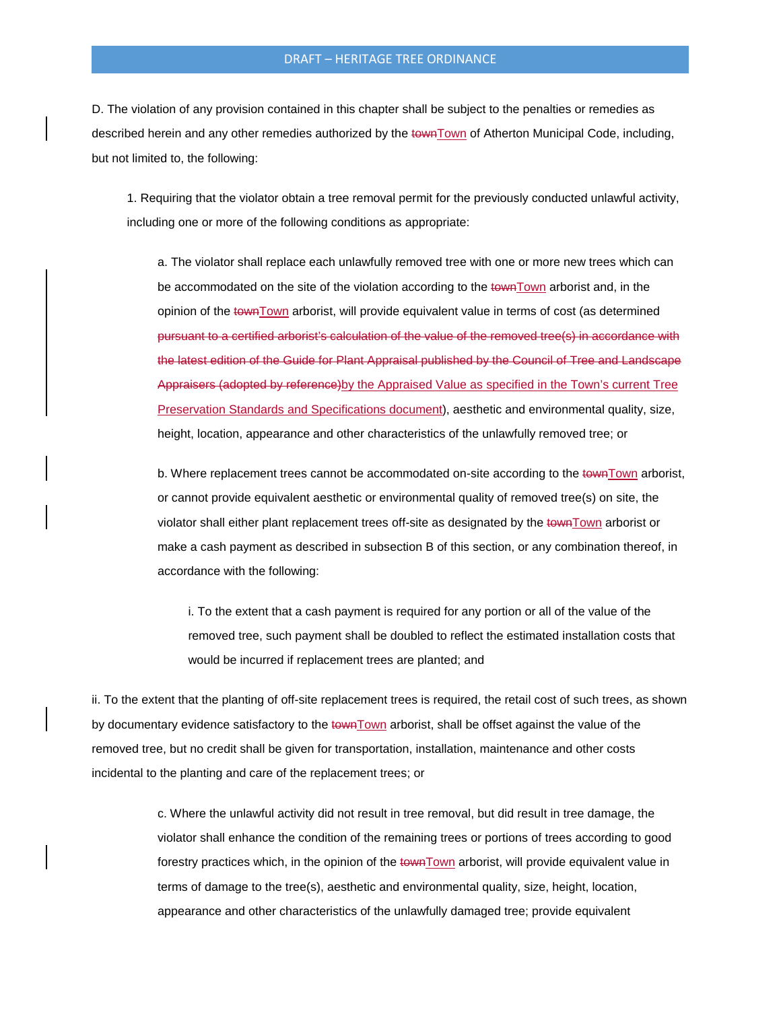#### DRAFT – HERITAGE TREE ORDINANCE

D. The violation of any provision contained in this chapter shall be subject to the penalties or remedies as described herein and any other remedies authorized by the townTown of Atherton Municipal Code, including, but not limited to, the following:

1. Requiring that the violator obtain a tree removal permit for the previously conducted unlawful activity, including one or more of the following conditions as appropriate:

a. The violator shall replace each unlawfully removed tree with one or more new trees which can be accommodated on the site of the violation according to the townTown arborist and, in the opinion of the townTown arborist, will provide equivalent value in terms of cost (as determined pursuant to a certified arborist's calculation of the value of the removed tree(s) in accordance with the latest edition of the Guide for Plant Appraisal published by the Council of Tree and Landscape Appraisers (adopted by reference) by the Appraised Value as specified in the Town's current Tree Preservation Standards and Specifications document), aesthetic and environmental quality, size, height, location, appearance and other characteristics of the unlawfully removed tree; or

b. Where replacement trees cannot be accommodated on-site according to the town Town arborist, or cannot provide equivalent aesthetic or environmental quality of removed tree(s) on site, the violator shall either plant replacement trees off-site as designated by the townTown arborist or make a cash payment as described in subsection B of this section, or any combination thereof, in accordance with the following:

i. To the extent that a cash payment is required for any portion or all of the value of the removed tree, such payment shall be doubled to reflect the estimated installation costs that would be incurred if replacement trees are planted; and

ii. To the extent that the planting of off-site replacement trees is required, the retail cost of such trees, as shown by documentary evidence satisfactory to the townTown arborist, shall be offset against the value of the removed tree, but no credit shall be given for transportation, installation, maintenance and other costs incidental to the planting and care of the replacement trees; or

> c. Where the unlawful activity did not result in tree removal, but did result in tree damage, the violator shall enhance the condition of the remaining trees or portions of trees according to good forestry practices which, in the opinion of the townTown arborist, will provide equivalent value in terms of damage to the tree(s), aesthetic and environmental quality, size, height, location, appearance and other characteristics of the unlawfully damaged tree; provide equivalent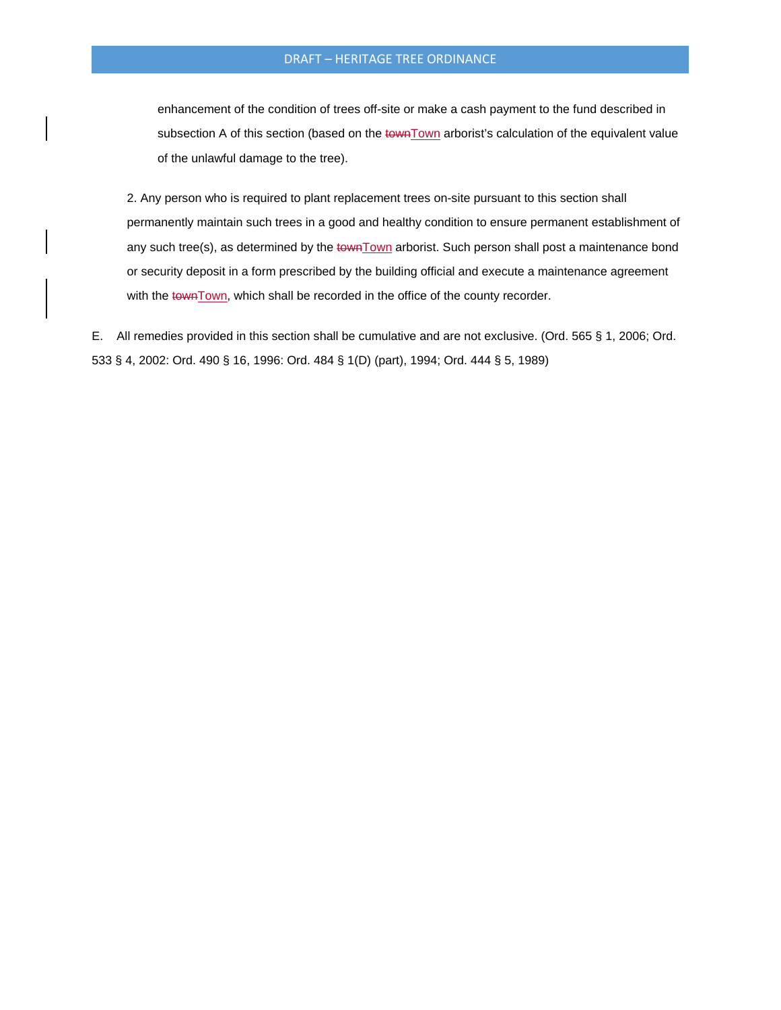enhancement of the condition of trees off-site or make a cash payment to the fund described in subsection A of this section (based on the townTown arborist's calculation of the equivalent value of the unlawful damage to the tree).

2. Any person who is required to plant replacement trees on-site pursuant to this section shall permanently maintain such trees in a good and healthy condition to ensure permanent establishment of any such tree(s), as determined by the townTown arborist. Such person shall post a maintenance bond or security deposit in a form prescribed by the building official and execute a maintenance agreement with the townTown, which shall be recorded in the office of the county recorder.

E. All remedies provided in this section shall be cumulative and are not exclusive. (Ord. 565 § 1, 2006; Ord. 533 § 4, 2002: Ord. 490 § 16, 1996: Ord. 484 § 1(D) (part), 1994; Ord. 444 § 5, 1989)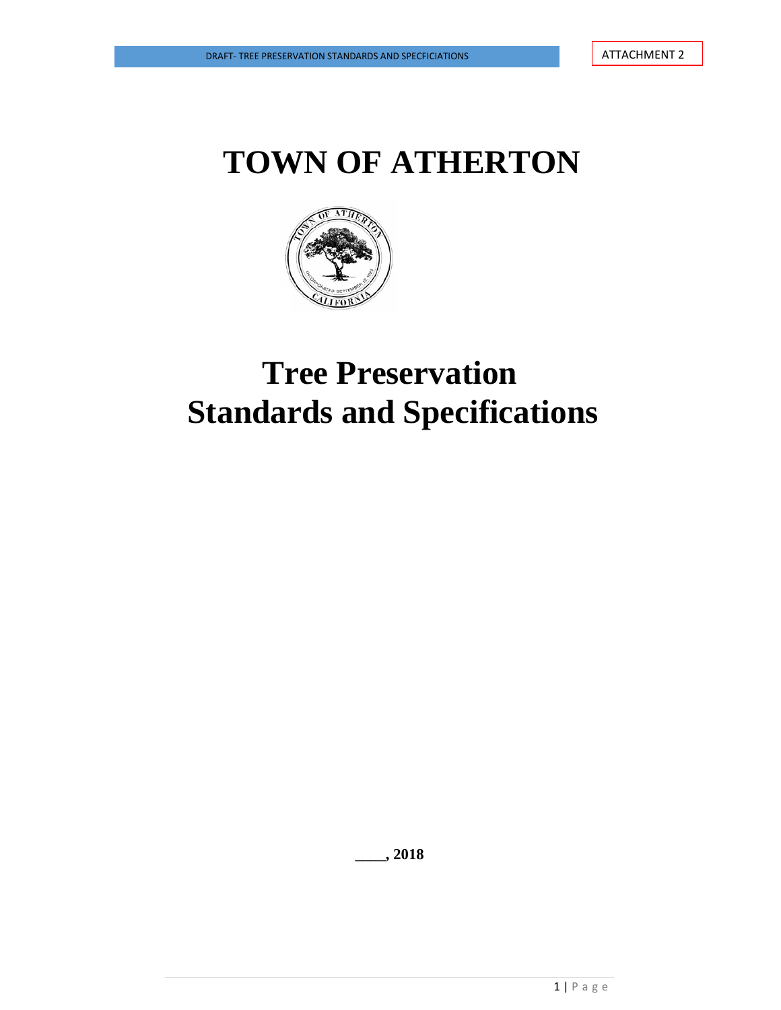

## **Tree Preservation Standards and Specifications**

**\_\_\_\_, 2018**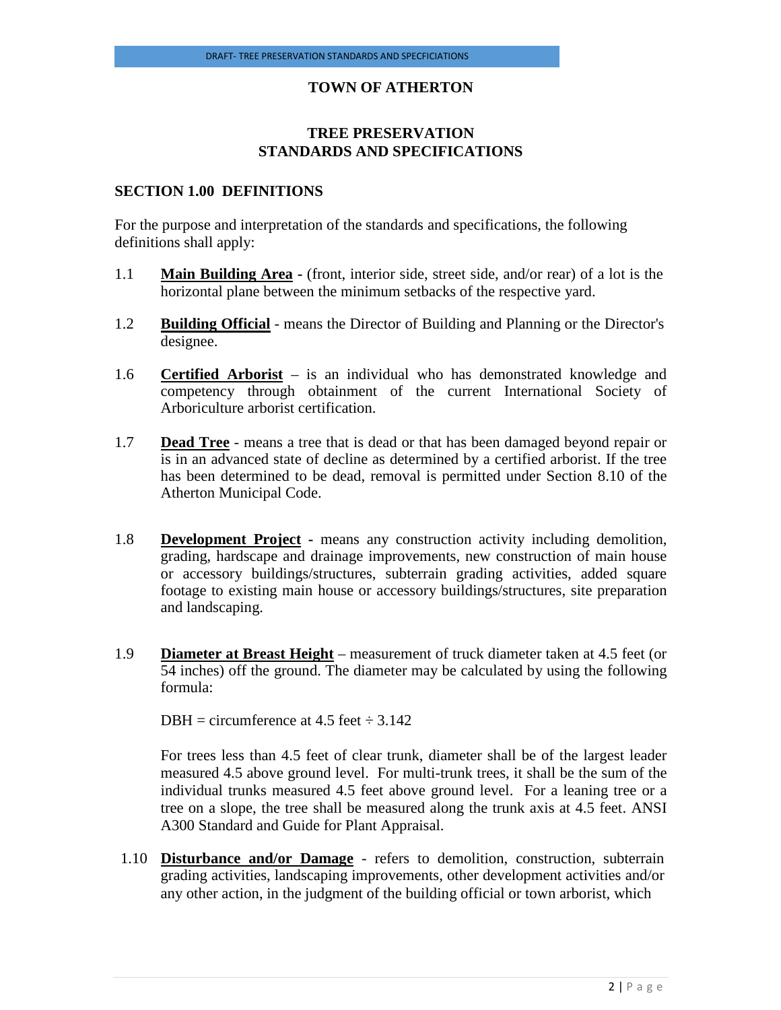## **TREE PRESERVATION STANDARDS AND SPECIFICATIONS**

#### **SECTION 1.00 DEFINITIONS**

For the purpose and interpretation of the standards and specifications, the following definitions shall apply:

- 1.1 **Main Building Area -** (front, interior side, street side, and/or rear) of a lot is the horizontal plane between the minimum setbacks of the respective yard.
- 1.2 **Building Official** means the Director of Building and Planning or the Director's designee.
- 1.6 **Certified Arborist** is an individual who has demonstrated knowledge and competency through obtainment of the current International Society of Arboriculture arborist certification.
- 1.7 **Dead Tree** means a tree that is dead or that has been damaged beyond repair or is in an advanced state of decline as determined by a certified arborist. If the tree has been determined to be dead, removal is permitted under Section 8.10 of the Atherton Municipal Code.
- 1.8 **Development Project -** means any construction activity including demolition, grading, hardscape and drainage improvements, new construction of main house or accessory buildings/structures, subterrain grading activities, added square footage to existing main house or accessory buildings/structures, site preparation and landscaping.
- 1.9 **Diameter at Breast Height** measurement of truck diameter taken at 4.5 feet (or 54 inches) off the ground. The diameter may be calculated by using the following formula:

DBH = circumference at 4.5 feet  $\div$  3.142

For trees less than 4.5 feet of clear trunk, diameter shall be of the largest leader measured 4.5 above ground level. For multi-trunk trees, it shall be the sum of the individual trunks measured 4.5 feet above ground level. For a leaning tree or a tree on a slope, the tree shall be measured along the trunk axis at 4.5 feet. ANSI A300 Standard and Guide for Plant Appraisal.

1.10 **Disturbance and/or Damage** - refers to demolition, construction, subterrain grading activities, landscaping improvements, other development activities and/or any other action, in the judgment of the building official or town arborist, which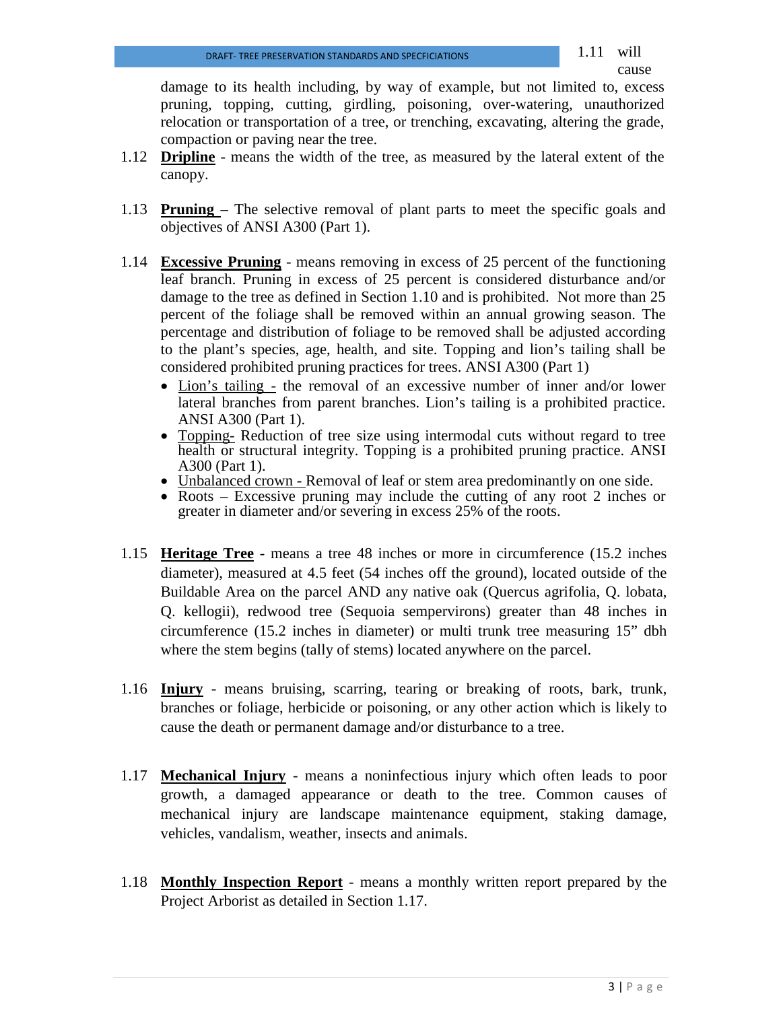damage to its health including, by way of example, but not limited to, excess pruning, topping, cutting, girdling, poisoning, over-watering, unauthorized relocation or transportation of a tree, or trenching, excavating, altering the grade, compaction or paving near the tree.

- 1.12 **Dripline** means the width of the tree, as measured by the lateral extent of the canopy.
- 1.13 **Pruning**  The selective removal of plant parts to meet the specific goals and objectives of ANSI A300 (Part 1).
- 1.14 **Excessive Pruning** means removing in excess of 25 percent of the functioning leaf branch. Pruning in excess of 25 percent is considered disturbance and/or damage to the tree as defined in Section 1.10 and is prohibited. Not more than 25 percent of the foliage shall be removed within an annual growing season. The percentage and distribution of foliage to be removed shall be adjusted according to the plant's species, age, health, and site. Topping and lion's tailing shall be considered prohibited pruning practices for trees. ANSI A300 (Part 1)
	- Lion's tailing the removal of an excessive number of inner and/or lower lateral branches from parent branches. Lion's tailing is a prohibited practice. ANSI A300 (Part 1).
	- Topping- Reduction of tree size using intermodal cuts without regard to tree health or structural integrity. Topping is a prohibited pruning practice. ANSI A300 (Part 1).<br>• Unbalanced crown - Removal of leaf or stem area predominantly on one side.
	-
	- Roots Excessive pruning may include the cutting of any root 2 inches or greater in diameter and/or severing in excess 25% of the roots.
- 1.15 **Heritage Tree** means a tree 48 inches or more in circumference (15.2 inches diameter), measured at 4.5 feet (54 inches off the ground), located outside of the Buildable Area on the parcel AND any native oak (Quercus agrifolia, Q. lobata, Q. kellogii), redwood tree (Sequoia sempervirons) greater than 48 inches in circumference (15.2 inches in diameter) or multi trunk tree measuring 15" dbh where the stem begins (tally of stems) located anywhere on the parcel.
- 1.16 **Injury** means bruising, scarring, tearing or breaking of roots, bark, trunk, branches or foliage, herbicide or poisoning, or any other action which is likely to cause the death or permanent damage and/or disturbance to a tree.
- 1.17 **Mechanical Injury** means a noninfectious injury which often leads to poor growth, a damaged appearance or death to the tree. Common causes of mechanical injury are landscape maintenance equipment, staking damage, vehicles, vandalism, weather, insects and animals.
- 1.18 **Monthly Inspection Report** means a monthly written report prepared by the Project Arborist as detailed in Section 1.17.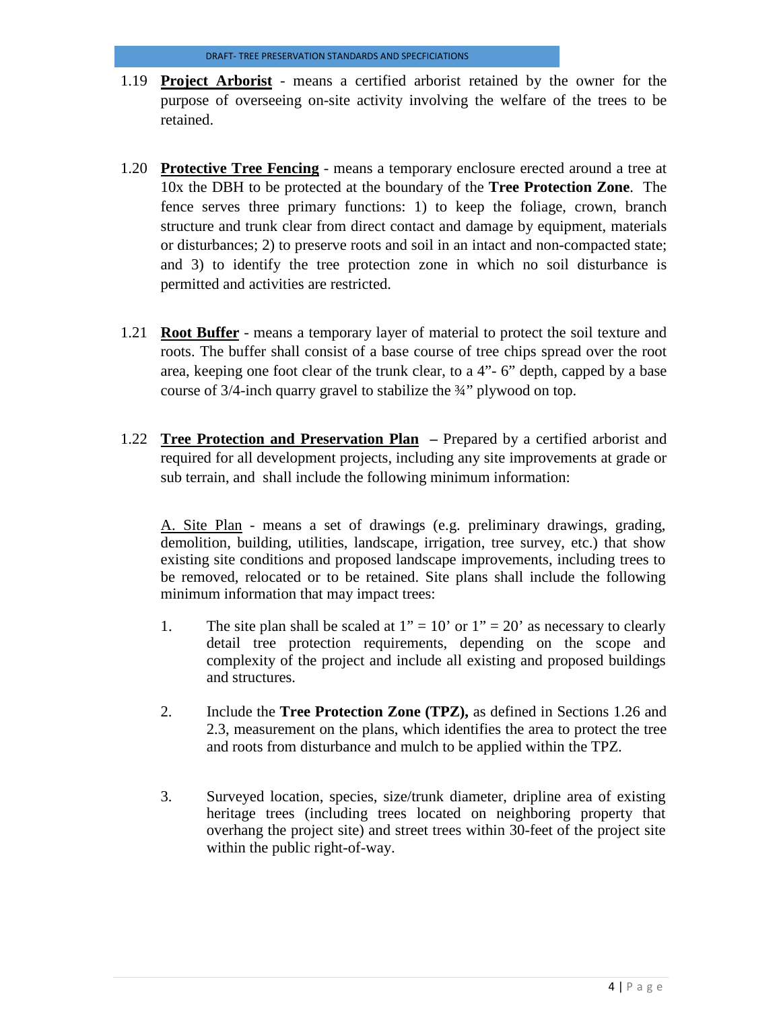- 1.19 **Project Arborist** means a certified arborist retained by the owner for the purpose of overseeing on-site activity involving the welfare of the trees to be retained.
- 1.20 **Protective Tree Fencing** means a temporary enclosure erected around a tree at 10x the DBH to be protected at the boundary of the **Tree Protection Zone**. The fence serves three primary functions: 1) to keep the foliage, crown, branch structure and trunk clear from direct contact and damage by equipment, materials or disturbances; 2) to preserve roots and soil in an intact and non-compacted state; and 3) to identify the tree protection zone in which no soil disturbance is permitted and activities are restricted.
- 1.21 **Root Buffer** means a temporary layer of material to protect the soil texture and roots. The buffer shall consist of a base course of tree chips spread over the root area, keeping one foot clear of the trunk clear, to a 4"- 6" depth, capped by a base course of 3/4-inch quarry gravel to stabilize the ¾" plywood on top.
- 1.22 **Tree Protection and Preservation Plan –** Prepared by a certified arborist and required for all development projects, including any site improvements at grade or sub terrain, and shall include the following minimum information:

A. Site Plan - means a set of drawings (e.g. preliminary drawings, grading, demolition, building, utilities, landscape, irrigation, tree survey, etc.) that show existing site conditions and proposed landscape improvements, including trees to be removed, relocated or to be retained. Site plans shall include the following minimum information that may impact trees:

- 1. The site plan shall be scaled at  $1" = 10'$  or  $1" = 20'$  as necessary to clearly detail tree protection requirements, depending on the scope and complexity of the project and include all existing and proposed buildings and structures.
- 2. Include the **Tree Protection Zone (TPZ),** as defined in Sections 1.26 and 2.3, measurement on the plans, which identifies the area to protect the tree and roots from disturbance and mulch to be applied within the TPZ.
- 3. Surveyed location, species, size/trunk diameter, dripline area of existing heritage trees (including trees located on neighboring property that overhang the project site) and street trees within 30-feet of the project site within the public right-of-way.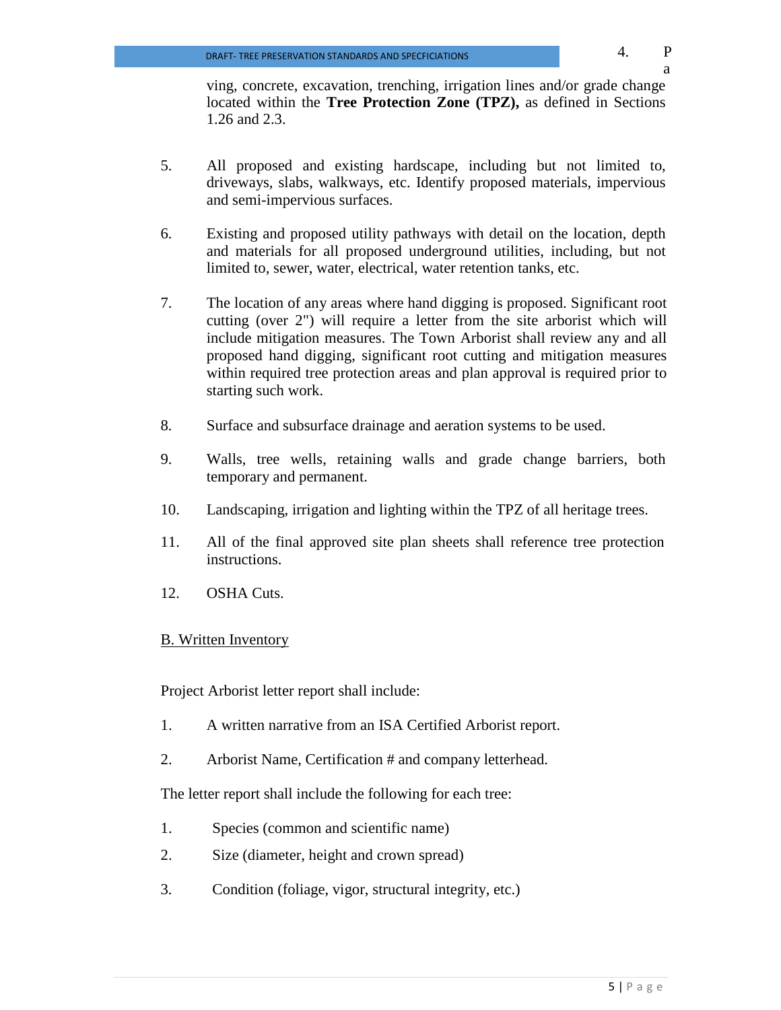ving, concrete, excavation, trenching, irrigation lines and/or grade change located within the **Tree Protection Zone (TPZ),** as defined in Sections 1.26 and 2.3.

- 5. All proposed and existing hardscape, including but not limited to, driveways, slabs, walkways, etc. Identify proposed materials, impervious and semi-impervious surfaces.
- 6. Existing and proposed utility pathways with detail on the location, depth and materials for all proposed underground utilities, including, but not limited to, sewer, water, electrical, water retention tanks, etc.
- 7. The location of any areas where hand digging is proposed. Significant root cutting (over 2") will require a letter from the site arborist which will include mitigation measures. The Town Arborist shall review any and all proposed hand digging, significant root cutting and mitigation measures within required tree protection areas and plan approval is required prior to starting such work.
- 8. Surface and subsurface drainage and aeration systems to be used.
- 9. Walls, tree wells, retaining walls and grade change barriers, both temporary and permanent.
- 10. Landscaping, irrigation and lighting within the TPZ of all heritage trees.
- 11. All of the final approved site plan sheets shall reference tree protection instructions.
- 12. OSHA Cuts.

## B. Written Inventory

Project Arborist letter report shall include:

- 1. A written narrative from an ISA Certified Arborist report.
- 2. Arborist Name, Certification # and company letterhead.

The letter report shall include the following for each tree:

- 1. Species (common and scientific name)
- 2. Size (diameter, height and crown spread)
- 3. Condition (foliage, vigor, structural integrity, etc.)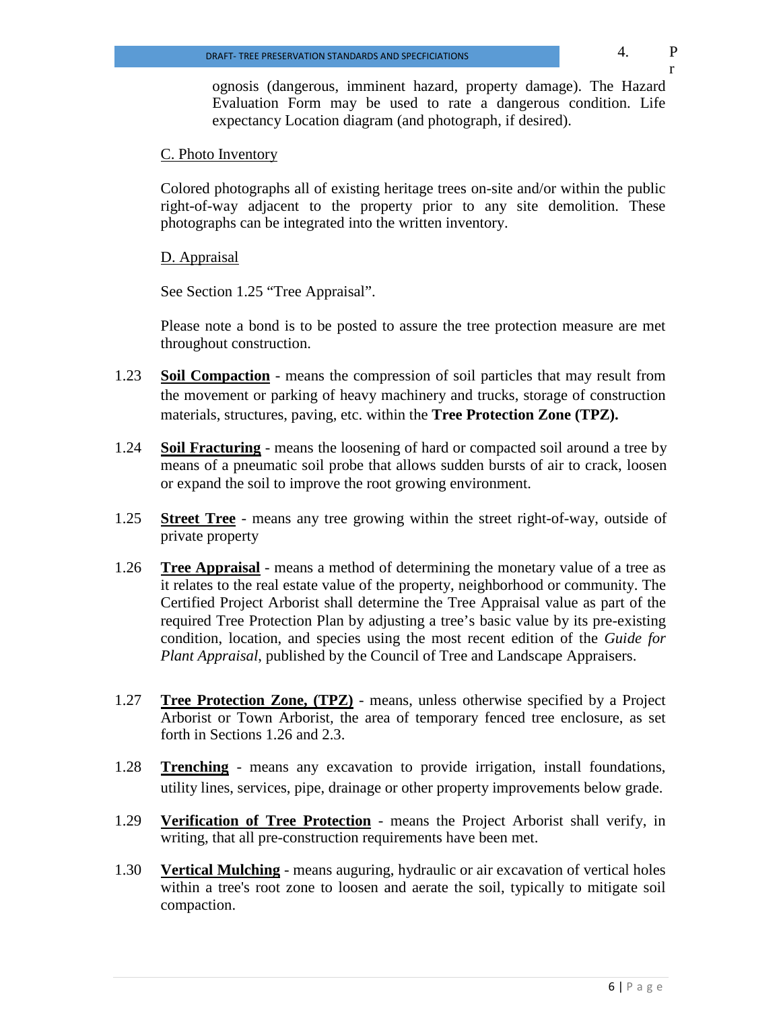r

ognosis (dangerous, imminent hazard, property damage). The Hazard Evaluation Form may be used to rate a dangerous condition. Life expectancy Location diagram (and photograph, if desired).

## C. Photo Inventory

Colored photographs all of existing heritage trees on-site and/or within the public right-of-way adjacent to the property prior to any site demolition. These photographs can be integrated into the written inventory.

D. Appraisal

See Section 1.25 "Tree Appraisal".

Please note a bond is to be posted to assure the tree protection measure are met throughout construction.

- 1.23 **Soil Compaction** means the compression of soil particles that may result from the movement or parking of heavy machinery and trucks, storage of construction materials, structures, paving, etc. within the **Tree Protection Zone (TPZ).**
- 1.24 **Soil Fracturing** means the loosening of hard or compacted soil around a tree by means of a pneumatic soil probe that allows sudden bursts of air to crack, loosen or expand the soil to improve the root growing environment.
- 1.25 **Street Tree** means any tree growing within the street right-of-way, outside of private property
- 1.26 **Tree Appraisal** means a method of determining the monetary value of a tree as it relates to the real estate value of the property, neighborhood or community. The Certified Project Arborist shall determine the Tree Appraisal value as part of the required Tree Protection Plan by adjusting a tree's basic value by its pre-existing condition, location, and species using the most recent edition of the *Guide for Plant Appraisal*, published by the Council of Tree and Landscape Appraisers.
- 1.27 **Tree Protection Zone, (TPZ)** means, unless otherwise specified by a Project Arborist or Town Arborist*,* the area of temporary fenced tree enclosure, as set forth in Sections 1.26 and 2.3.
- 1.28 **Trenching** means any excavation to provide irrigation, install foundations, utility lines, services, pipe, drainage or other property improvements below grade.
- 1.29 **Verification of Tree Protection** means the Project Arborist shall verify, in writing, that all pre-construction requirements have been met.
- 1.30 **Vertical Mulching** means auguring, hydraulic or air excavation of vertical holes within a tree's root zone to loosen and aerate the soil, typically to mitigate soil compaction.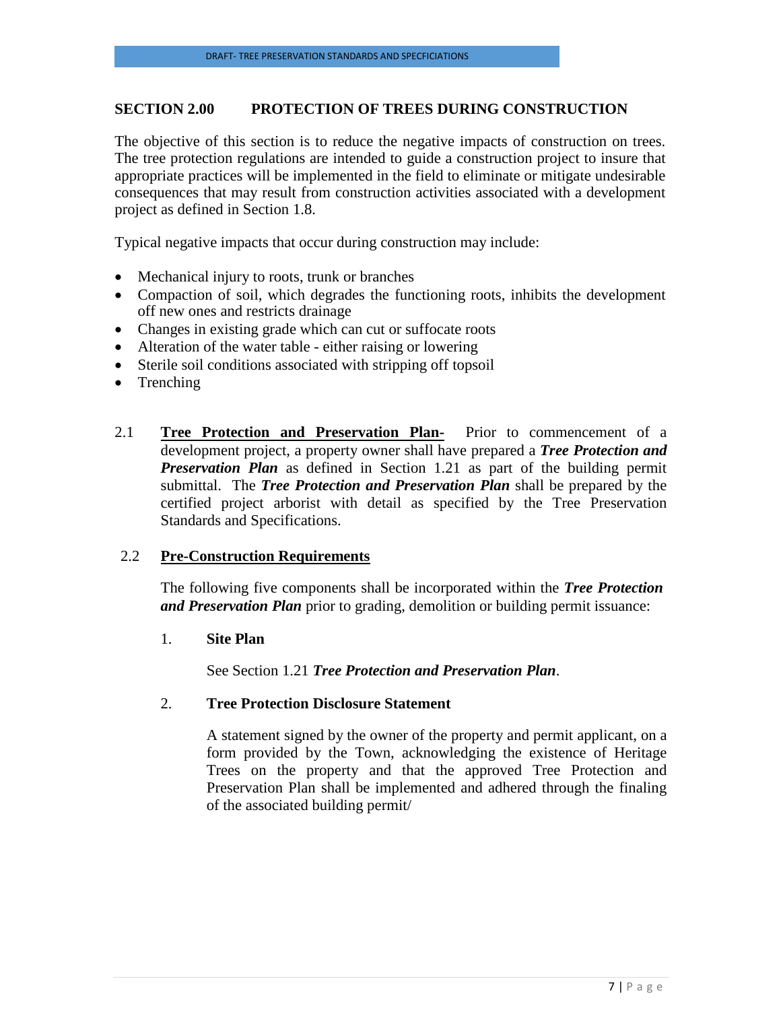## **SECTION 2.00 PROTECTION OF TREES DURING CONSTRUCTION**

The objective of this section is to reduce the negative impacts of construction on trees. The tree protection regulations are intended to guide a construction project to insure that appropriate practices will be implemented in the field to eliminate or mitigate undesirable consequences that may result from construction activities associated with a development project as defined in Section 1.8.

Typical negative impacts that occur during construction may include:

- Mechanical injury to roots, trunk or branches
- Compaction of soil, which degrades the functioning roots, inhibits the development off new ones and restricts drainage
- Changes in existing grade which can cut or suffocate roots
- Alteration of the water table either raising or lowering
- Sterile soil conditions associated with stripping off topsoil
- Trenching
- 2.1 **Tree Protection and Preservation Plan-** Prior to commencement of a development project, a property owner shall have prepared a *Tree Protection and*  **Preservation Plan** as defined in Section 1.21 as part of the building permit submittal. The *Tree Protection and Preservation Plan* shall be prepared by the certified project arborist with detail as specified by the Tree Preservation Standards and Specifications.

#### 2.2 **Pre-Construction Requirements**

The following five components shall be incorporated within the *Tree Protection and Preservation Plan* prior to grading, demolition or building permit issuance:

#### 1. **Site Plan**

See Section 1.21 *Tree Protection and Preservation Plan*.

#### 2. **Tree Protection Disclosure Statement**

A statement signed by the owner of the property and permit applicant, on a form provided by the Town, acknowledging the existence of Heritage Trees on the property and that the approved Tree Protection and Preservation Plan shall be implemented and adhered through the finaling of the associated building permit/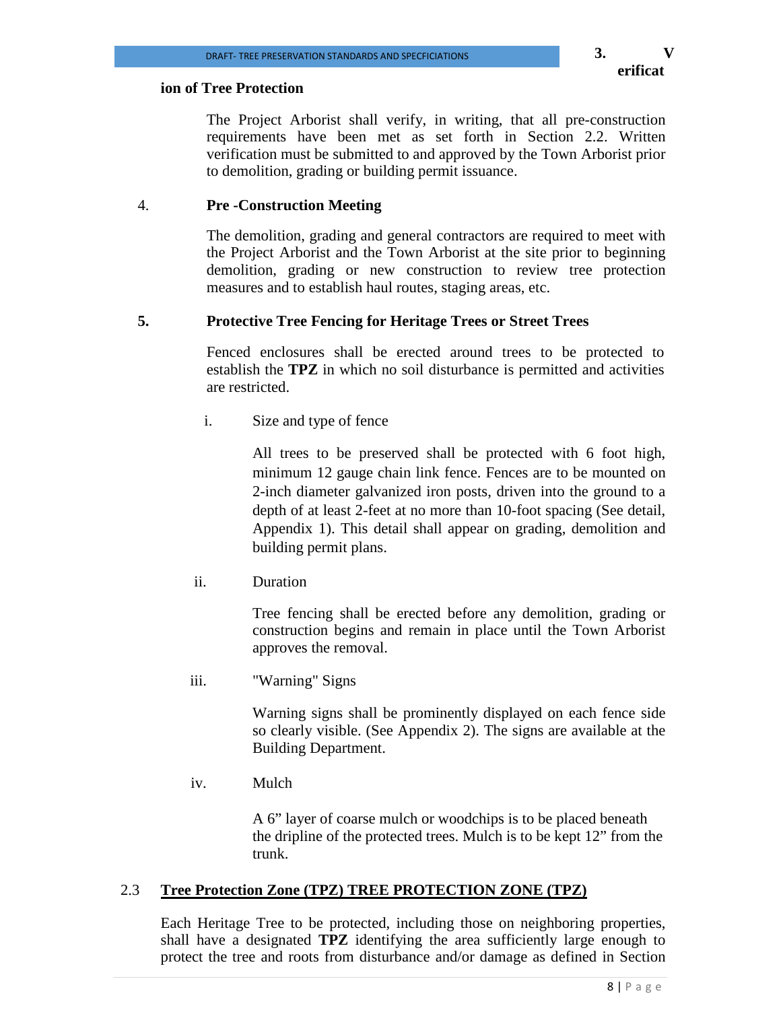**3. V**

#### **ion of Tree Protection**

The Project Arborist shall verify, in writing, that all pre-construction requirements have been met as set forth in Section 2.2. Written verification must be submitted to and approved by the Town Arborist prior to demolition, grading or building permit issuance.

#### 4. **Pre -Construction Meeting**

The demolition, grading and general contractors are required to meet with the Project Arborist and the Town Arborist at the site prior to beginning demolition, grading or new construction to review tree protection measures and to establish haul routes, staging areas, etc.

#### **5. Protective Tree Fencing for Heritage Trees or Street Trees**

Fenced enclosures shall be erected around trees to be protected to establish the **TPZ** in which no soil disturbance is permitted and activities are restricted.

i. Size and type of fence

All trees to be preserved shall be protected with 6 foot high, minimum 12 gauge chain link fence. Fences are to be mounted on 2-inch diameter galvanized iron posts, driven into the ground to a depth of at least 2-feet at no more than 10-foot spacing (See detail, Appendix 1). This detail shall appear on grading, demolition and building permit plans.

ii. Duration

Tree fencing shall be erected before any demolition, grading or construction begins and remain in place until the Town Arborist approves the removal.

iii. "Warning" Signs

Warning signs shall be prominently displayed on each fence side so clearly visible. (See Appendix 2). The signs are available at the Building Department.

iv. Mulch

A 6" layer of coarse mulch or woodchips is to be placed beneath the dripline of the protected trees. Mulch is to be kept 12" from the trunk.

#### 2.3 **Tree Protection Zone (TPZ) TREE PROTECTION ZONE (TPZ)**

Each Heritage Tree to be protected, including those on neighboring properties, shall have a designated **TPZ** identifying the area sufficiently large enough to protect the tree and roots from disturbance and/or damage as defined in Section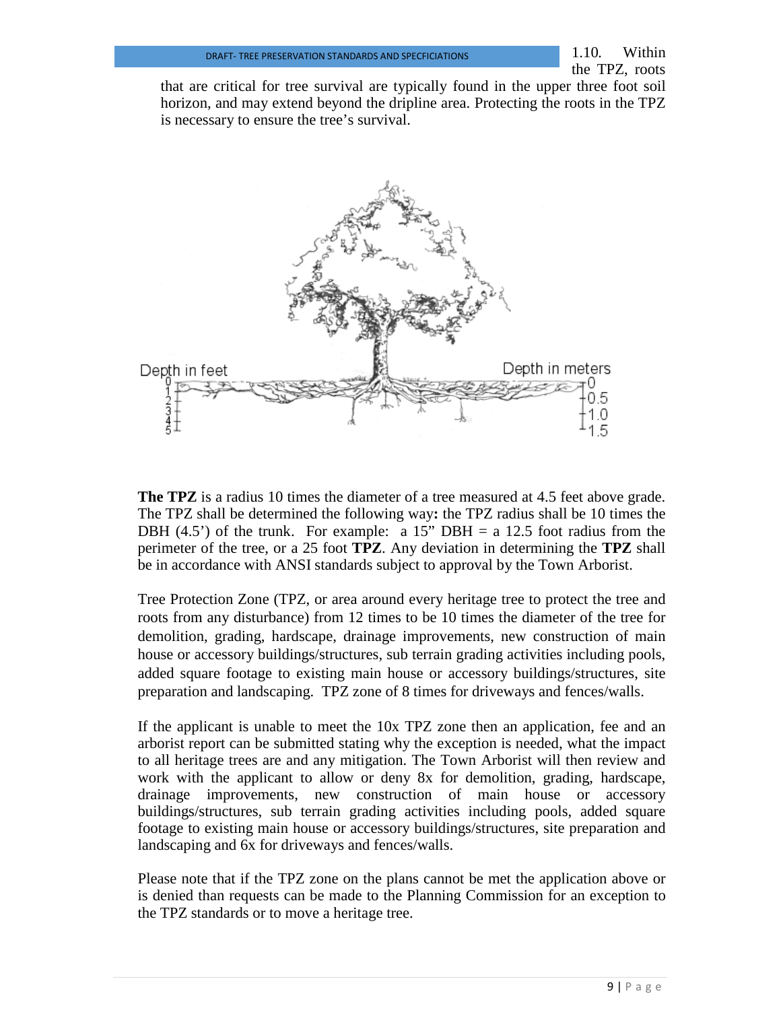that are critical for tree survival are typically found in the upper three foot soil horizon, and may extend beyond the dripline area. Protecting the roots in the TPZ is necessary to ensure the tree's survival.



**The TPZ** is a radius 10 times the diameter of a tree measured at 4.5 feet above grade. The TPZ shall be determined the following way**:** the TPZ radius shall be 10 times the DBH  $(4.5')$  of the trunk. For example: a 15" DBH = a 12.5 foot radius from the perimeter of the tree, or a 25 foot **TPZ**. Any deviation in determining the **TPZ** shall be in accordance with ANSI standards subject to approval by the Town Arborist.

Tree Protection Zone (TPZ, or area around every heritage tree to protect the tree and roots from any disturbance) from 12 times to be 10 times the diameter of the tree for demolition, grading, hardscape, drainage improvements, new construction of main house or accessory buildings/structures, sub terrain grading activities including pools, added square footage to existing main house or accessory buildings/structures, site preparation and landscaping. TPZ zone of 8 times for driveways and fences/walls.

If the applicant is unable to meet the 10x TPZ zone then an application, fee and an arborist report can be submitted stating why the exception is needed, what the impact to all heritage trees are and any mitigation. The Town Arborist will then review and work with the applicant to allow or deny 8x for demolition, grading, hardscape, drainage improvements, new construction of main house or accessory buildings/structures, sub terrain grading activities including pools, added square footage to existing main house or accessory buildings/structures, site preparation and landscaping and 6x for driveways and fences/walls.

Please note that if the TPZ zone on the plans cannot be met the application above or is denied than requests can be made to the Planning Commission for an exception to the TPZ standards or to move a heritage tree.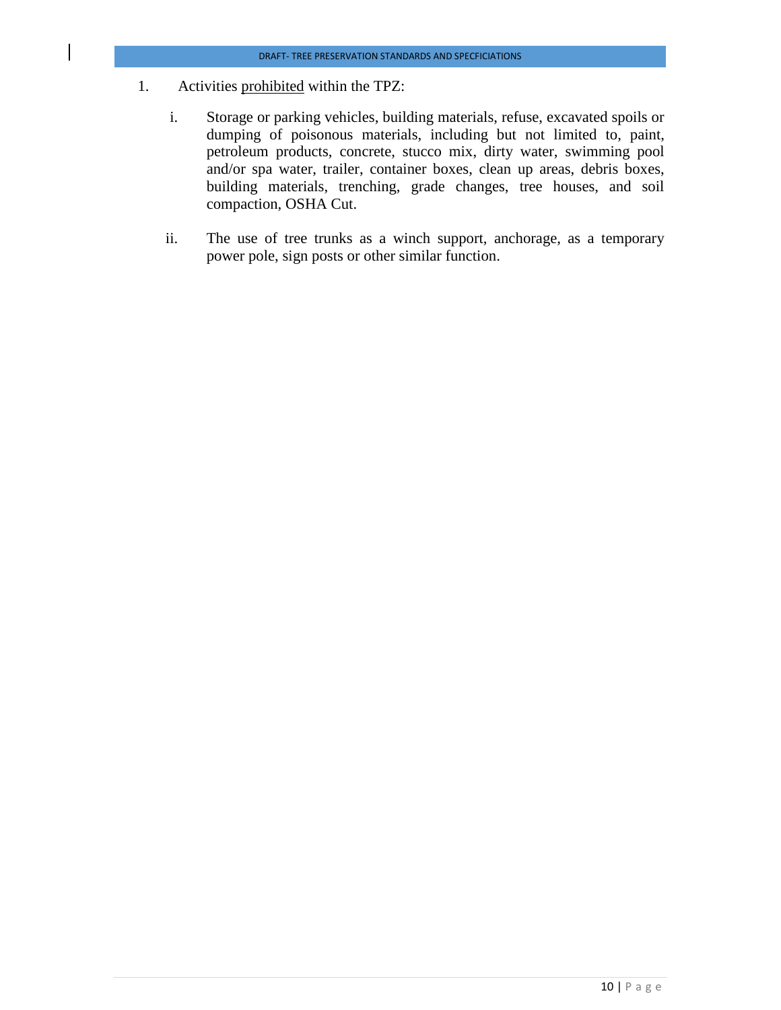- 1. Activities prohibited within the TPZ:
	- i. Storage or parking vehicles, building materials, refuse, excavated spoils or dumping of poisonous materials, including but not limited to, paint, petroleum products, concrete, stucco mix, dirty water, swimming pool and/or spa water, trailer, container boxes, clean up areas, debris boxes, building materials, trenching, grade changes, tree houses, and soil compaction, OSHA Cut.
	- ii. The use of tree trunks as a winch support, anchorage, as a temporary power pole, sign posts or other similar function.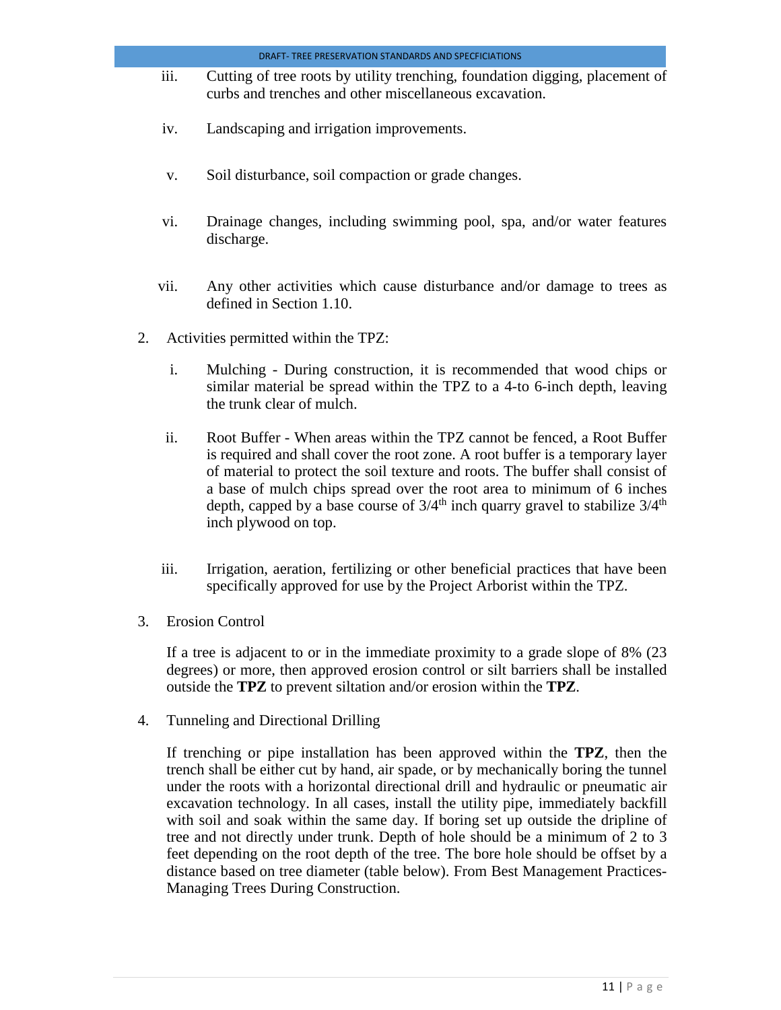- iii. Cutting of tree roots by utility trenching, foundation digging, placement of curbs and trenches and other miscellaneous excavation.
- iv. Landscaping and irrigation improvements.
- v. Soil disturbance, soil compaction or grade changes.
- vi. Drainage changes, including swimming pool, spa, and/or water features discharge.
- vii. Any other activities which cause disturbance and/or damage to trees as defined in Section 1.10.
- 2. Activities permitted within the TPZ:
	- i. Mulching During construction, it is recommended that wood chips or similar material be spread within the TPZ to a 4-to 6-inch depth, leaving the trunk clear of mulch.
	- ii. Root Buffer When areas within the TPZ cannot be fenced, a Root Buffer is required and shall cover the root zone. A root buffer is a temporary layer of material to protect the soil texture and roots. The buffer shall consist of a base of mulch chips spread over the root area to minimum of 6 inches depth, capped by a base course of  $3/4^{\text{th}}$  inch quarry gravel to stabilize  $3/4^{\text{th}}$ inch plywood on top.
	- iii. Irrigation, aeration, fertilizing or other beneficial practices that have been specifically approved for use by the Project Arborist within the TPZ.
- 3. Erosion Control

If a tree is adjacent to or in the immediate proximity to a grade slope of 8% (23 degrees) or more, then approved erosion control or silt barriers shall be installed outside the **TPZ** to prevent siltation and/or erosion within the **TPZ**.

4. Tunneling and Directional Drilling

If trenching or pipe installation has been approved within the **TPZ**, then the trench shall be either cut by hand, air spade, or by mechanically boring the tunnel under the roots with a horizontal directional drill and hydraulic or pneumatic air excavation technology. In all cases, install the utility pipe, immediately backfill with soil and soak within the same day. If boring set up outside the dripline of tree and not directly under trunk. Depth of hole should be a minimum of 2 to 3 feet depending on the root depth of the tree. The bore hole should be offset by a distance based on tree diameter (table below). From Best Management Practices-Managing Trees During Construction.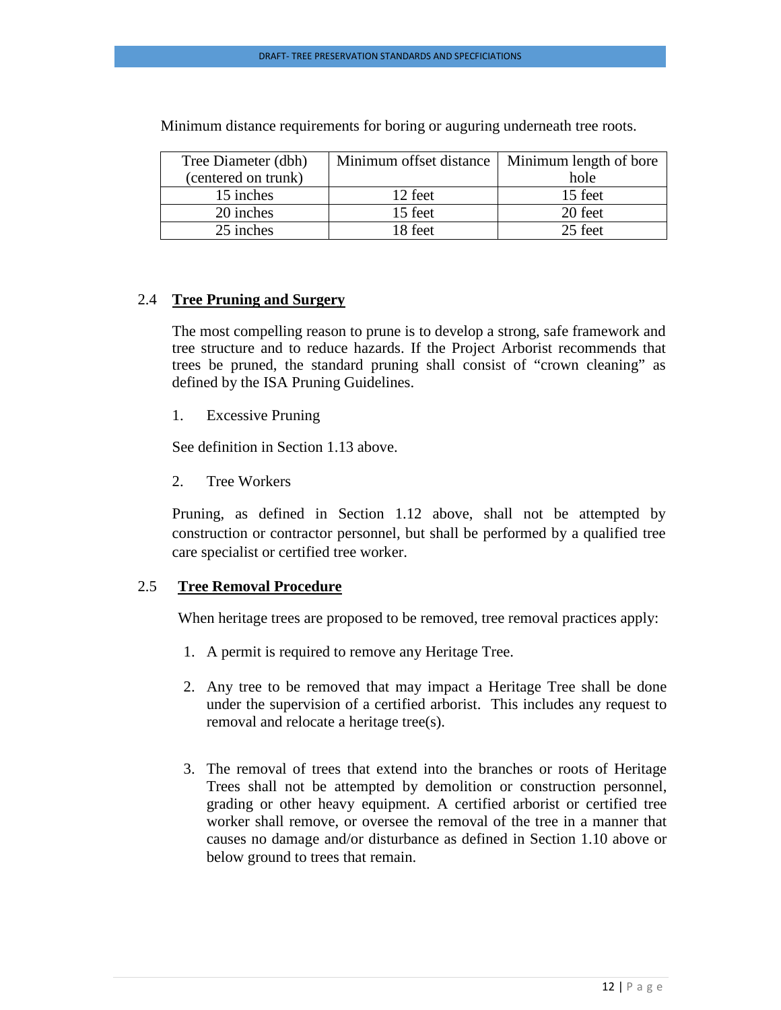| Tree Diameter (dbh) | Minimum offset distance   Minimum length of bore |         |
|---------------------|--------------------------------------------------|---------|
| (centered on trunk) |                                                  | hole    |
| 15 inches           | 12 feet                                          | 15 feet |
| 20 inches           | 15 feet                                          | 20 feet |
| 25 inches           | 18 feet                                          | 25 feet |

Minimum distance requirements for boring or auguring underneath tree roots.

### 2.4 **Tree Pruning and Surgery**

The most compelling reason to prune is to develop a strong, safe framework and tree structure and to reduce hazards. If the Project Arborist recommends that trees be pruned, the standard pruning shall consist of "crown cleaning" as defined by the ISA Pruning Guidelines.

1. Excessive Pruning

See definition in Section 1.13 above.

2. Tree Workers

Pruning, as defined in Section 1.12 above, shall not be attempted by construction or contractor personnel, but shall be performed by a qualified tree care specialist or certified tree worker.

#### 2.5 **Tree Removal Procedure**

When heritage trees are proposed to be removed, tree removal practices apply:

- 1. A permit is required to remove any Heritage Tree.
- 2. Any tree to be removed that may impact a Heritage Tree shall be done under the supervision of a certified arborist. This includes any request to removal and relocate a heritage tree(s).
- 3. The removal of trees that extend into the branches or roots of Heritage Trees shall not be attempted by demolition or construction personnel, grading or other heavy equipment. A certified arborist or certified tree worker shall remove, or oversee the removal of the tree in a manner that causes no damage and/or disturbance as defined in Section 1.10 above or below ground to trees that remain.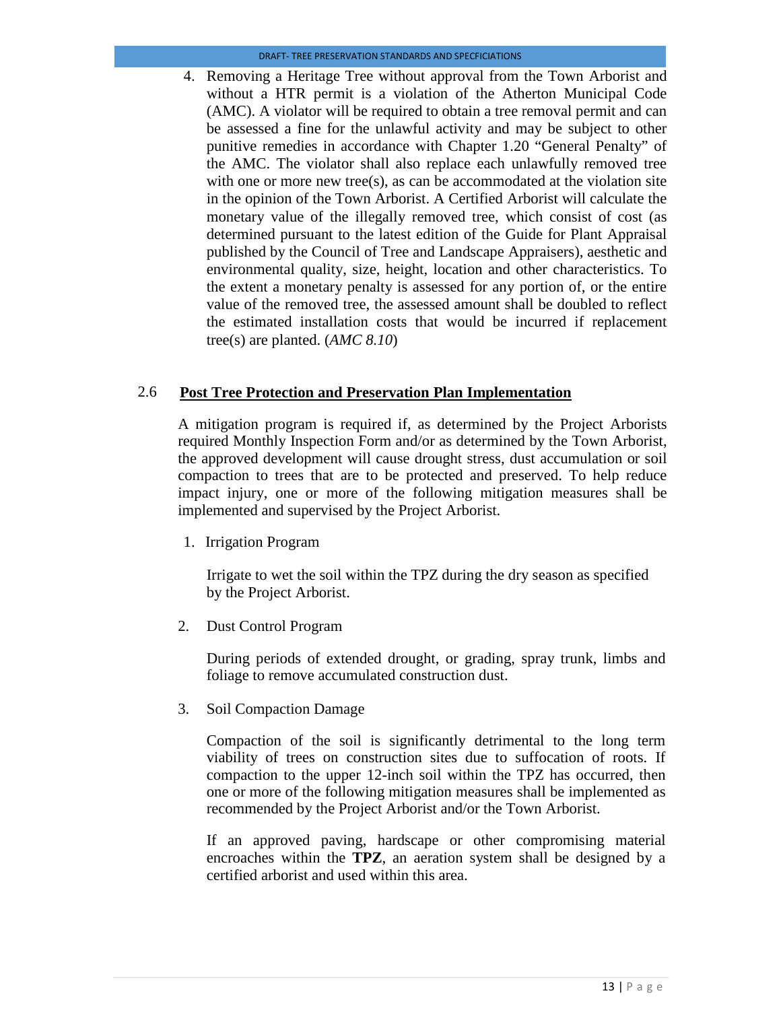4. Removing a Heritage Tree without approval from the Town Arborist and without a HTR permit is a violation of the Atherton Municipal Code (AMC). A violator will be required to obtain a tree removal permit and can be assessed a fine for the unlawful activity and may be subject to other punitive remedies in accordance with Chapter 1.20 "General Penalty" of the AMC. The violator shall also replace each unlawfully removed tree with one or more new tree(s), as can be accommodated at the violation site in the opinion of the Town Arborist. A Certified Arborist will calculate the monetary value of the illegally removed tree, which consist of cost (as determined pursuant to the latest edition of the Guide for Plant Appraisal published by the Council of Tree and Landscape Appraisers), aesthetic and environmental quality, size, height, location and other characteristics. To the extent a monetary penalty is assessed for any portion of, or the entire value of the removed tree, the assessed amount shall be doubled to reflect the estimated installation costs that would be incurred if replacement tree(s) are planted. (*AMC 8.10*)

#### 2.6 **Post Tree Protection and Preservation Plan Implementation**

A mitigation program is required if, as determined by the Project Arborists required Monthly Inspection Form and/or as determined by the Town Arborist, the approved development will cause drought stress, dust accumulation or soil compaction to trees that are to be protected and preserved. To help reduce impact injury, one or more of the following mitigation measures shall be implemented and supervised by the Project Arborist.

1. Irrigation Program

Irrigate to wet the soil within the TPZ during the dry season as specified by the Project Arborist.

2. Dust Control Program

During periods of extended drought, or grading, spray trunk, limbs and foliage to remove accumulated construction dust.

3. Soil Compaction Damage

Compaction of the soil is significantly detrimental to the long term viability of trees on construction sites due to suffocation of roots. If compaction to the upper 12-inch soil within the TPZ has occurred, then one or more of the following mitigation measures shall be implemented as recommended by the Project Arborist and/or the Town Arborist.

If an approved paving, hardscape or other compromising material encroaches within the **TPZ**, an aeration system shall be designed by a certified arborist and used within this area.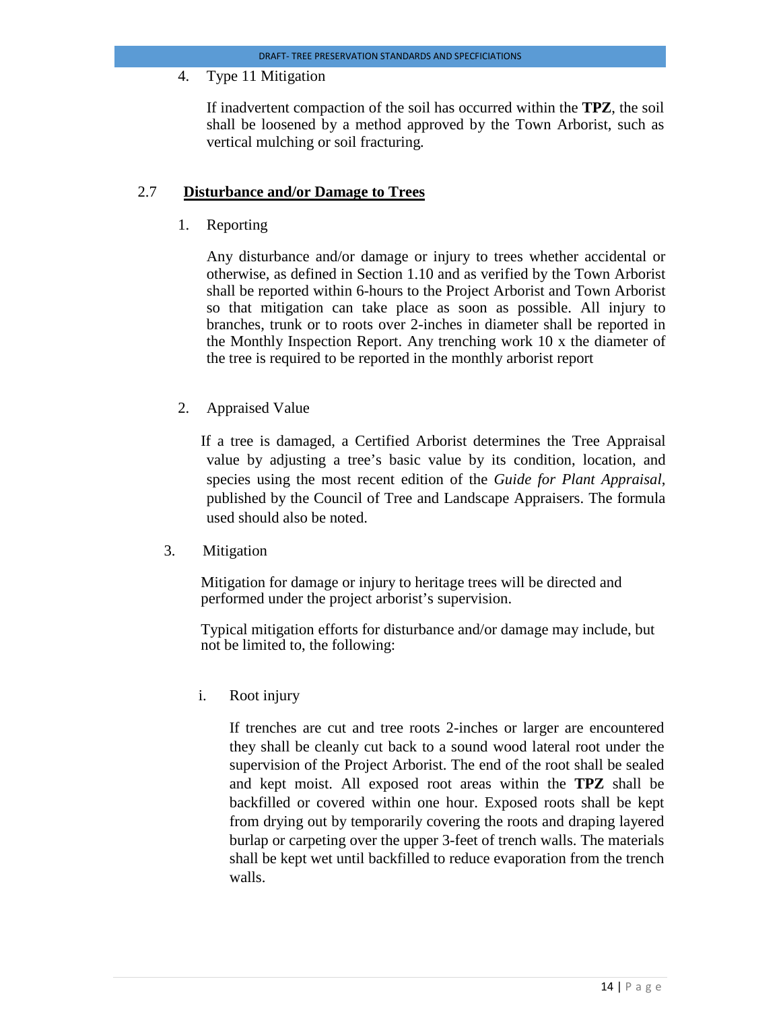4. Type 11 Mitigation

If inadvertent compaction of the soil has occurred within the **TPZ**, the soil shall be loosened by a method approved by the Town Arborist, such as vertical mulching or soil fracturing*.*

#### 2.7 **Disturbance and/or Damage to Trees**

1. Reporting

Any disturbance and/or damage or injury to trees whether accidental or otherwise, as defined in Section 1.10 and as verified by the Town Arborist shall be reported within 6-hours to the Project Arborist and Town Arborist so that mitigation can take place as soon as possible. All injury to branches, trunk or to roots over 2-inches in diameter shall be reported in the Monthly Inspection Report. Any trenching work 10 x the diameter of the tree is required to be reported in the monthly arborist report

2. Appraised Value

If a tree is damaged, a Certified Arborist determines the Tree Appraisal value by adjusting a tree's basic value by its condition, location, and species using the most recent edition of the *Guide for Plant Appraisal*, published by the Council of Tree and Landscape Appraisers. The formula used should also be noted.

3. Mitigation

Mitigation for damage or injury to heritage trees will be directed and performed under the project arborist's supervision.

Typical mitigation efforts for disturbance and/or damage may include, but not be limited to, the following:

i. Root injury

If trenches are cut and tree roots 2-inches or larger are encountered they shall be cleanly cut back to a sound wood lateral root under the supervision of the Project Arborist. The end of the root shall be sealed and kept moist. All exposed root areas within the **TPZ** shall be backfilled or covered within one hour. Exposed roots shall be kept from drying out by temporarily covering the roots and draping layered burlap or carpeting over the upper 3-feet of trench walls. The materials shall be kept wet until backfilled to reduce evaporation from the trench walls.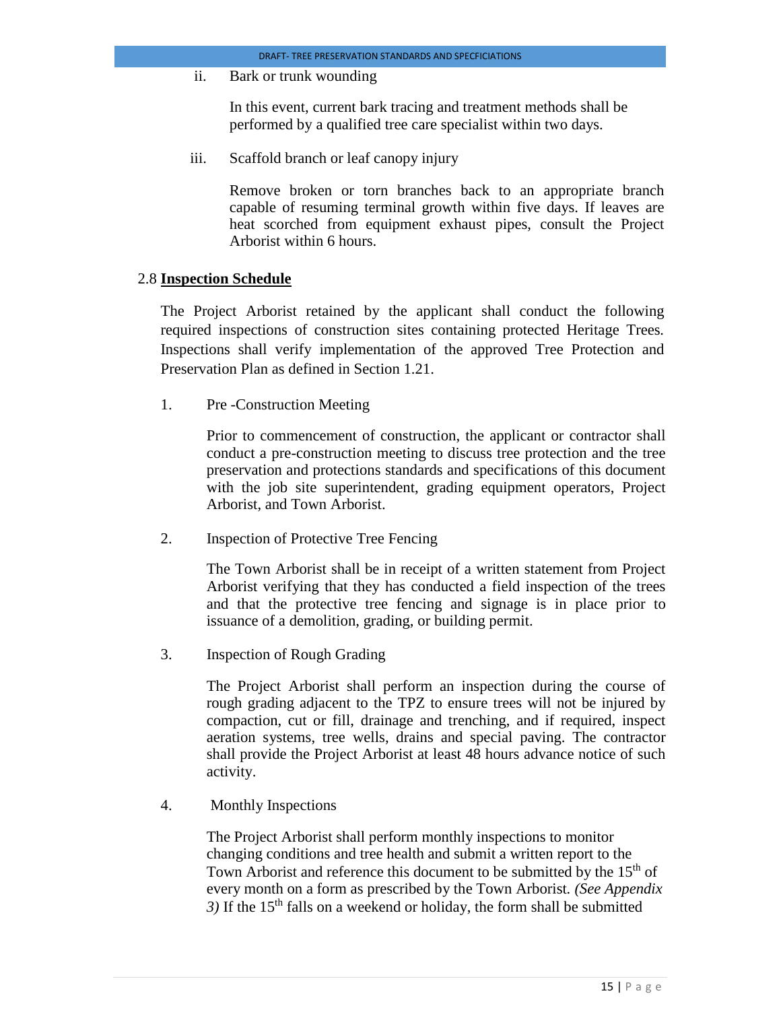ii. Bark or trunk wounding

In this event, current bark tracing and treatment methods shall be performed by a qualified tree care specialist within two days.

iii. Scaffold branch or leaf canopy injury

Remove broken or torn branches back to an appropriate branch capable of resuming terminal growth within five days. If leaves are heat scorched from equipment exhaust pipes, consult the Project Arborist within 6 hours.

#### 2.8 **Inspection Schedule**

The Project Arborist retained by the applicant shall conduct the following required inspections of construction sites containing protected Heritage Trees*.* Inspections shall verify implementation of the approved Tree Protection and Preservation Plan as defined in Section 1.21.

1. Pre -Construction Meeting

Prior to commencement of construction, the applicant or contractor shall conduct a pre-construction meeting to discuss tree protection and the tree preservation and protections standards and specifications of this document with the job site superintendent, grading equipment operators, Project Arborist, and Town Arborist.

2. Inspection of Protective Tree Fencing

The Town Arborist shall be in receipt of a written statement from Project Arborist verifying that they has conducted a field inspection of the trees and that the protective tree fencing and signage is in place prior to issuance of a demolition, grading, or building permit.

3. Inspection of Rough Grading

The Project Arborist shall perform an inspection during the course of rough grading adjacent to the TPZ to ensure trees will not be injured by compaction, cut or fill, drainage and trenching, and if required, inspect aeration systems, tree wells, drains and special paving. The contractor shall provide the Project Arborist at least 48 hours advance notice of such activity.

4. Monthly Inspections

The Project Arborist shall perform monthly inspections to monitor changing conditions and tree health and submit a written report to the Town Arborist and reference this document to be submitted by the  $15<sup>th</sup>$  of every month on a form as prescribed by the Town Arborist*. (See Appendix*   $3)$  If the 15<sup>th</sup> falls on a weekend or holiday, the form shall be submitted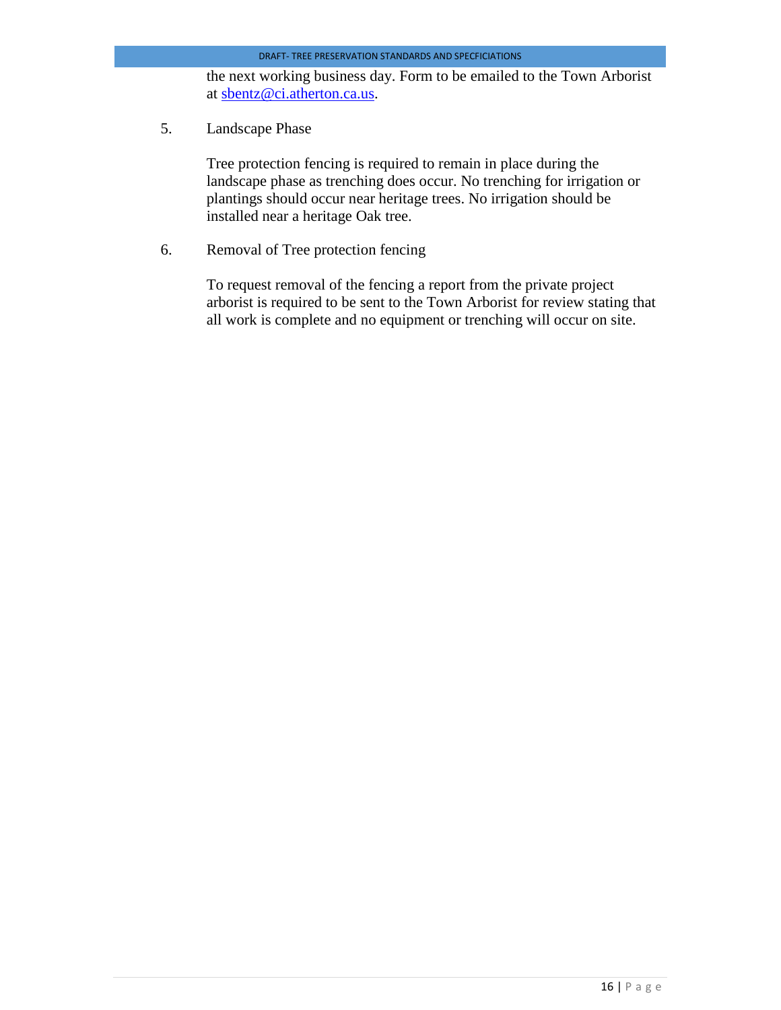the next working business day. Form to be emailed to the Town Arborist at [sbentz@ci.atherton.ca.us.](mailto:sbentz@ci.atherton.ca.us)

5. Landscape Phase

Tree protection fencing is required to remain in place during the landscape phase as trenching does occur. No trenching for irrigation or plantings should occur near heritage trees. No irrigation should be installed near a heritage Oak tree.

6. Removal of Tree protection fencing

To request removal of the fencing a report from the private project arborist is required to be sent to the Town Arborist for review stating that all work is complete and no equipment or trenching will occur on site.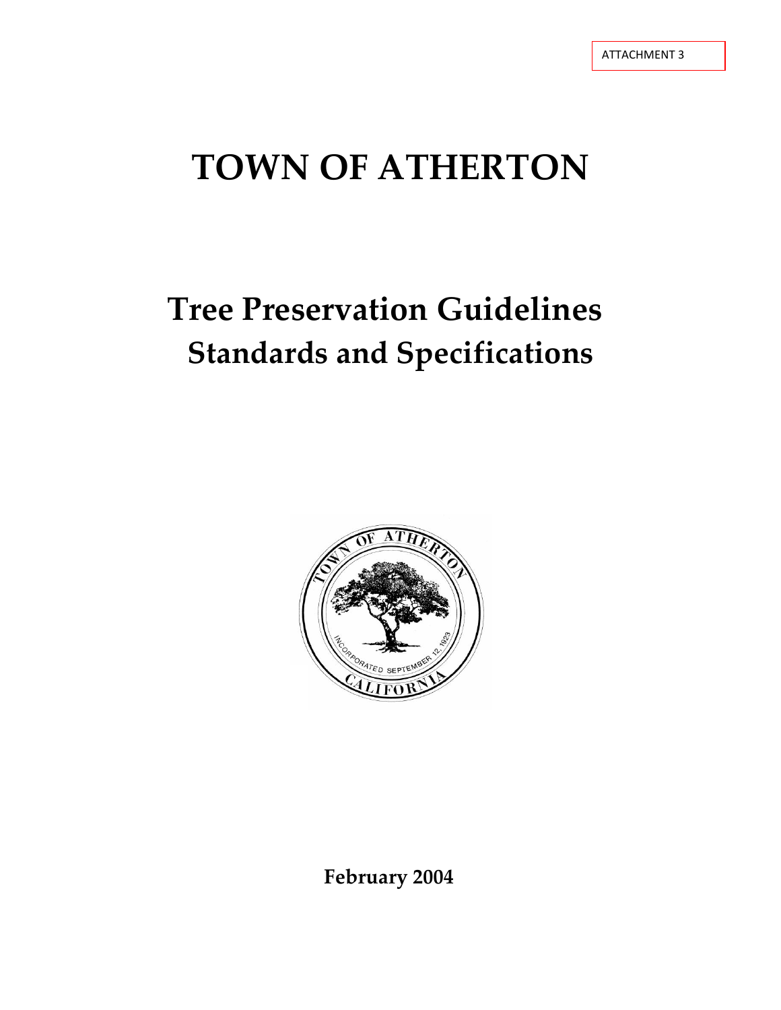# **Tree Preservation Guidelines Standards and Specifications**



**February 2004**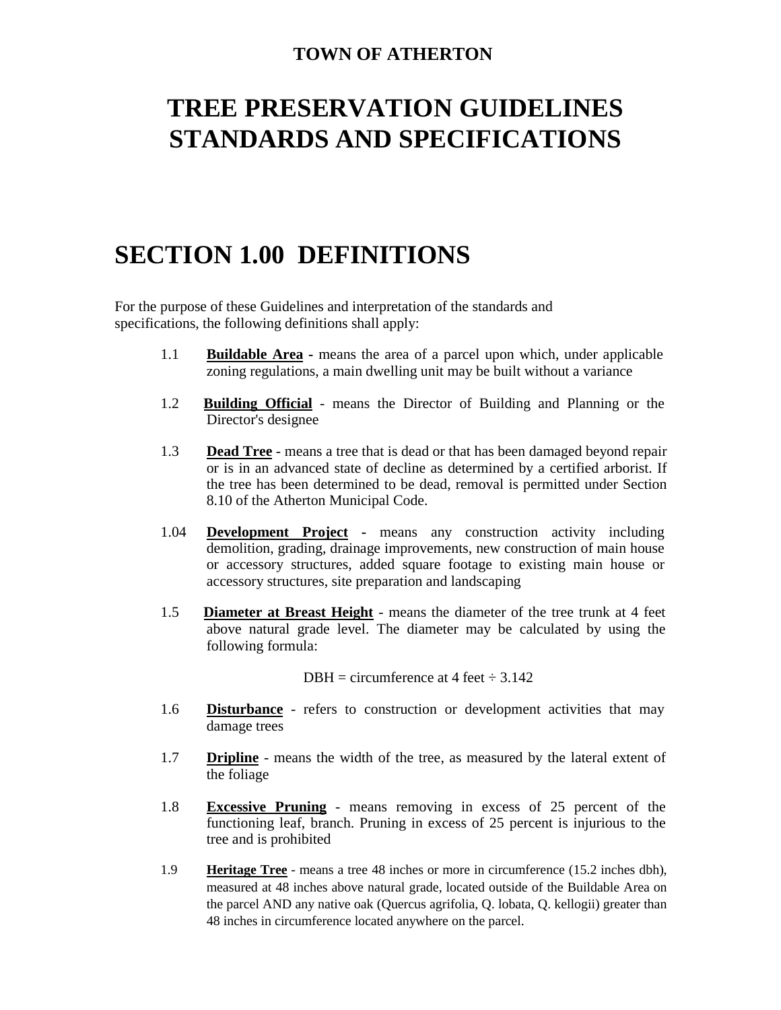## **TREE PRESERVATION GUIDELINES STANDARDS AND SPECIFICATIONS**

## **SECTION 1.00 DEFINITIONS**

For the purpose of these Guidelines and interpretation of the standards and specifications, the following definitions shall apply:

- 1.1 **Buildable Area -** means the area of a parcel upon which, under applicable zoning regulations, a main dwelling unit may be built without a variance
- 1.2 **Building Official** means the Director of Building and Planning or the Director's designee
- 1.3 **Dead Tree** means a tree that is dead or that has been damaged beyond repair or is in an advanced state of decline as determined by a certified arborist. If the tree has been determined to be dead, removal is permitted under Section 8.10 of the Atherton Municipal Code.
- 1.04 **Development Project -** means any construction activity including demolition, grading, drainage improvements, new construction of main house or accessory structures, added square footage to existing main house or accessory structures, site preparation and landscaping
- 1.5 **Diameter at Breast Height** means the diameter of the tree trunk at 4 feet above natural grade level. The diameter may be calculated by using the following formula:

DBH = circumference at 4 feet  $\div$  3.142

- 1.6 **Disturbance** refers to construction or development activities that may damage trees
- 1.7 **Dripline** means the width of the tree, as measured by the lateral extent of the foliage
- 1.8 **Excessive Pruning** means removing in excess of 25 percent of the functioning leaf, branch. Pruning in excess of 25 percent is injurious to the tree and is prohibited
- 1.9 **Heritage Tree** means a tree 48 inches or more in circumference (15.2 inches dbh), measured at 48 inches above natural grade, located outside of the Buildable Area on the parcel AND any native oak (Quercus agrifolia, Q. lobata, Q. kellogii) greater than 48 inches in circumference located anywhere on the parcel.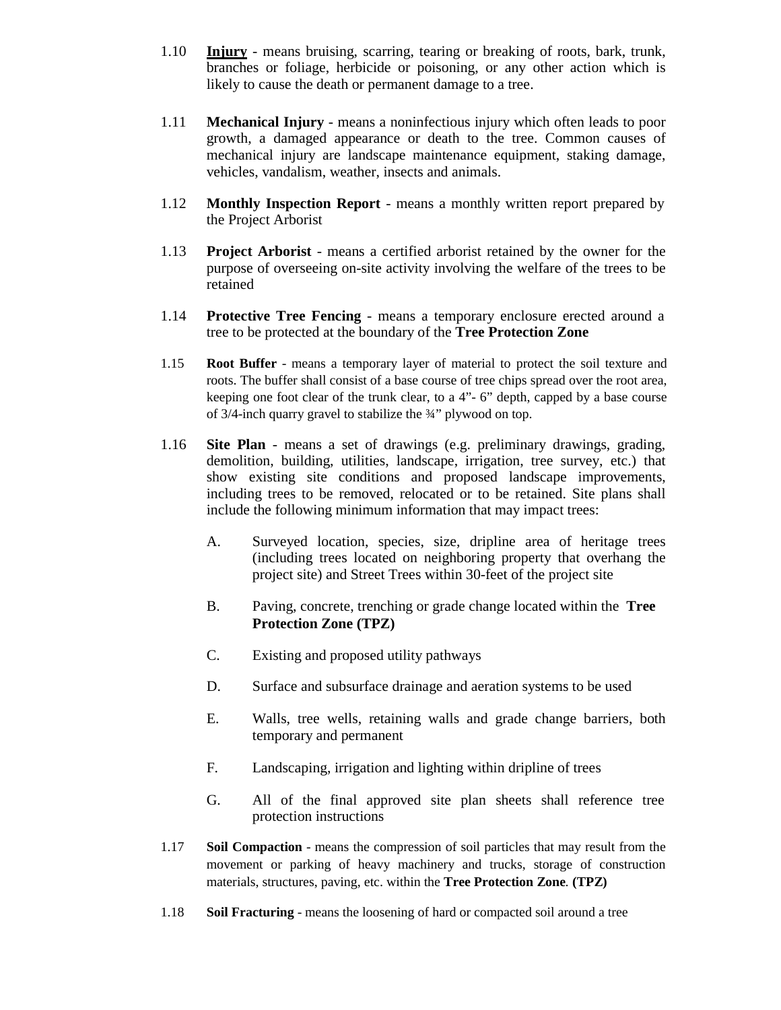- 1.10 **Injury** means bruising, scarring, tearing or breaking of roots, bark, trunk, branches or foliage, herbicide or poisoning, or any other action which is likely to cause the death or permanent damage to a tree.
- 1.11 **Mechanical Injury**  means a noninfectious injury which often leads to poor growth, a damaged appearance or death to the tree. Common causes of mechanical injury are landscape maintenance equipment, staking damage, vehicles, vandalism, weather, insects and animals.
- 1.12 **Monthly Inspection Report**  means a monthly written report prepared by the Project Arborist
- 1.13 **Project Arborist**  means a certified arborist retained by the owner for the purpose of overseeing on-site activity involving the welfare of the trees to be retained
- 1.14 **Protective Tree Fencing**  means a temporary enclosure erected around a tree to be protected at the boundary of the **Tree Protection Zone**
- 1.15 **Root Buffer**  means a temporary layer of material to protect the soil texture and roots. The buffer shall consist of a base course of tree chips spread over the root area, keeping one foot clear of the trunk clear, to a 4"- 6" depth, capped by a base course of 3/4-inch quarry gravel to stabilize the ¾" plywood on top.
- 1.16 **Site Plan**  means a set of drawings (e.g. preliminary drawings, grading, demolition, building, utilities, landscape, irrigation, tree survey, etc.) that show existing site conditions and proposed landscape improvements, including trees to be removed, relocated or to be retained. Site plans shall include the following minimum information that may impact trees:
	- A. Surveyed location, species, size, dripline area of heritage trees (including trees located on neighboring property that overhang the project site) and Street Trees within 30-feet of the project site
	- B. Paving, concrete, trenching or grade change located within the **Tree Protection Zone (TPZ)**
	- C. Existing and proposed utility pathways
	- D. Surface and subsurface drainage and aeration systems to be used
	- E. Walls, tree wells, retaining walls and grade change barriers, both temporary and permanent
	- F. Landscaping, irrigation and lighting within dripline of trees
	- G. All of the final approved site plan sheets shall reference tree protection instructions
- 1.17 **Soil Compaction**  means the compression of soil particles that may result from the movement or parking of heavy machinery and trucks, storage of construction materials, structures, paving, etc. within the **Tree Protection Zone***.* **(TPZ)**
- 1.18 **Soil Fracturing**  means the loosening of hard or compacted soil around a tree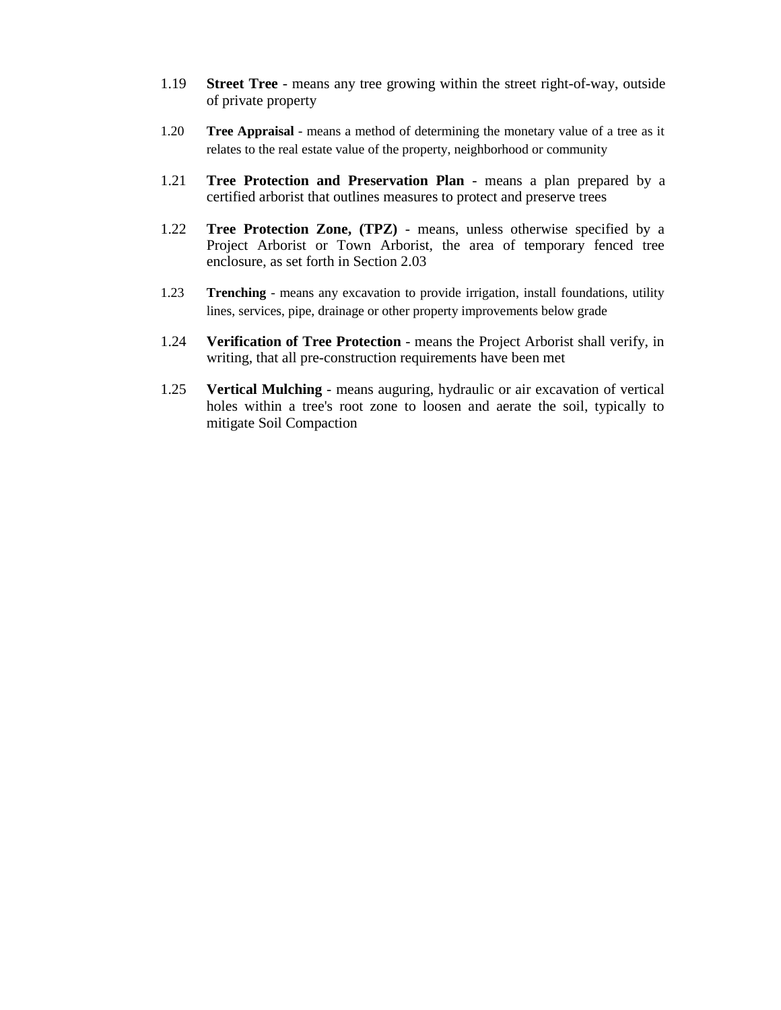- 1.19 **Street Tree**  means any tree growing within the street right-of-way, outside of private property
- 1.20 **Tree Appraisal**  means a method of determining the monetary value of a tree as it relates to the real estate value of the property, neighborhood or community
- 1.21 **Tree Protection and Preservation Plan**  means a plan prepared by a certified arborist that outlines measures to protect and preserve trees
- 1.22 **Tree Protection Zone, (TPZ)**  means, unless otherwise specified by a Project Arborist or Town Arborist*,* the area of temporary fenced tree enclosure, as set forth in Section 2.03
- 1.23 **Trenching**  means any excavation to provide irrigation, install foundations, utility lines, services, pipe, drainage or other property improvements below grade
- 1.24 **Verification of Tree Protection**  means the Project Arborist shall verify, in writing, that all pre-construction requirements have been met
- 1.25 **Vertical Mulching**  means auguring, hydraulic or air excavation of vertical holes within a tree's root zone to loosen and aerate the soil, typically to mitigate Soil Compaction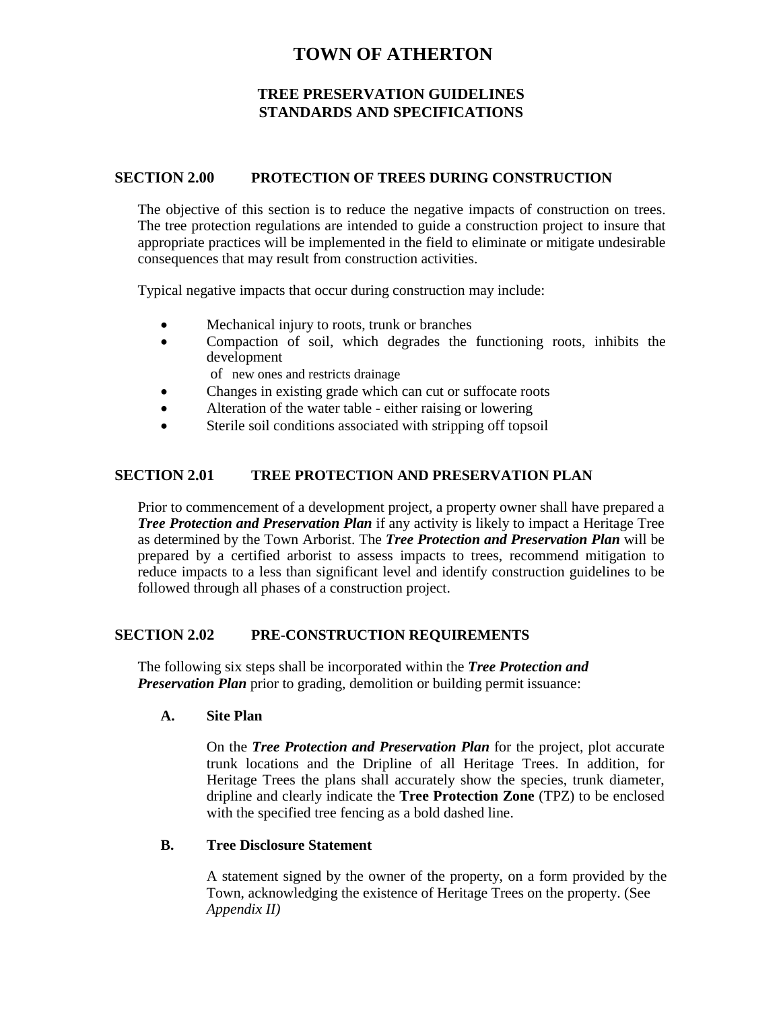## **TREE PRESERVATION GUIDELINES STANDARDS AND SPECIFICATIONS**

#### **SECTION 2.00 PROTECTION OF TREES DURING CONSTRUCTION**

The objective of this section is to reduce the negative impacts of construction on trees. The tree protection regulations are intended to guide a construction project to insure that appropriate practices will be implemented in the field to eliminate or mitigate undesirable consequences that may result from construction activities.

Typical negative impacts that occur during construction may include:

- Mechanical injury to roots, trunk or branches
- Compaction of soil, which degrades the functioning roots, inhibits the development
	- of new ones and restricts drainage
- Changes in existing grade which can cut or suffocate roots
- Alteration of the water table either raising or lowering
- Sterile soil conditions associated with stripping off topsoil

#### **SECTION 2.01 TREE PROTECTION AND PRESERVATION PLAN**

Prior to commencement of a development project, a property owner shall have prepared a *Tree Protection and Preservation Plan* if any activity is likely to impact a Heritage Tree as determined by the Town Arborist. The *Tree Protection and Preservation Plan* will be prepared by a certified arborist to assess impacts to trees, recommend mitigation to reduce impacts to a less than significant level and identify construction guidelines to be followed through all phases of a construction project.

## **SECTION 2.02 PRE-CONSTRUCTION REQUIREMENTS**

The following six steps shall be incorporated within the *Tree Protection and Preservation Plan prior to grading, demolition or building permit issuance:* 

#### **A. Site Plan**

On the *Tree Protection and Preservation Plan* for the project, plot accurate trunk locations and the Dripline of all Heritage Trees. In addition, for Heritage Trees the plans shall accurately show the species, trunk diameter, dripline and clearly indicate the **Tree Protection Zone** (TPZ) to be enclosed with the specified tree fencing as a bold dashed line.

#### **B. Tree Disclosure Statement**

A statement signed by the owner of the property, on a form provided by the Town, acknowledging the existence of Heritage Trees on the property. (See *Appendix II)*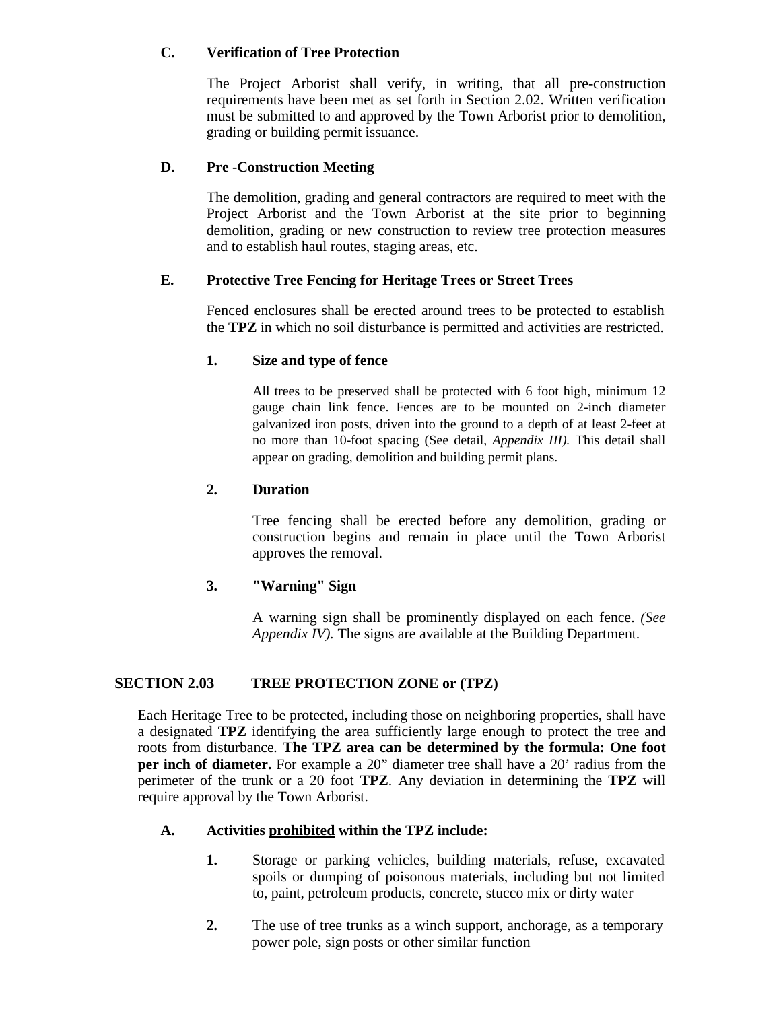## **C. Verification of Tree Protection**

The Project Arborist shall verify, in writing, that all pre-construction requirements have been met as set forth in Section 2.02. Written verification must be submitted to and approved by the Town Arborist prior to demolition, grading or building permit issuance.

## **D. Pre -Construction Meeting**

The demolition, grading and general contractors are required to meet with the Project Arborist and the Town Arborist at the site prior to beginning demolition, grading or new construction to review tree protection measures and to establish haul routes, staging areas, etc.

## **E. Protective Tree Fencing for Heritage Trees or Street Trees**

Fenced enclosures shall be erected around trees to be protected to establish the **TPZ** in which no soil disturbance is permitted and activities are restricted.

## **1. Size and type of fence**

All trees to be preserved shall be protected with 6 foot high, minimum 12 gauge chain link fence. Fences are to be mounted on 2-inch diameter galvanized iron posts, driven into the ground to a depth of at least 2-feet at no more than 10-foot spacing (See detail, *Appendix III).* This detail shall appear on grading, demolition and building permit plans.

## **2. Duration**

Tree fencing shall be erected before any demolition, grading or construction begins and remain in place until the Town Arborist approves the removal.

## **3. "Warning" Sign**

A warning sign shall be prominently displayed on each fence. *(See Appendix IV).* The signs are available at the Building Department.

## **SECTION 2.03 TREE PROTECTION ZONE or (TPZ)**

Each Heritage Tree to be protected, including those on neighboring properties, shall have a designated **TPZ** identifying the area sufficiently large enough to protect the tree and roots from disturbance*.* **The TPZ area can be determined by the formula: One foot per inch of diameter.** For example a 20" diameter tree shall have a 20' radius from the perimeter of the trunk or a 20 foot **TPZ**. Any deviation in determining the **TPZ** will require approval by the Town Arborist.

## **A. Activities prohibited within the TPZ include:**

- **1.** Storage or parking vehicles, building materials, refuse, excavated spoils or dumping of poisonous materials, including but not limited to, paint, petroleum products, concrete, stucco mix or dirty water
- **2.** The use of tree trunks as a winch support, anchorage, as a temporary power pole, sign posts or other similar function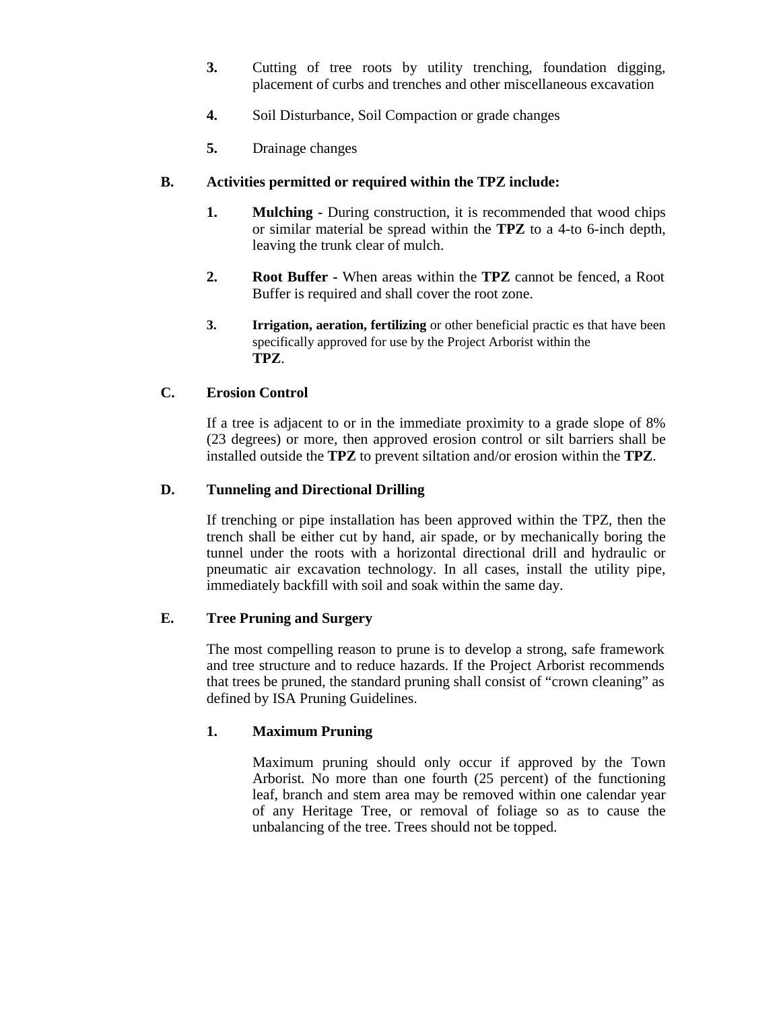- **3.** Cutting of tree roots by utility trenching*,* foundation digging, placement of curbs and trenches and other miscellaneous excavation
- **4.** Soil Disturbance, Soil Compaction or grade changes
- **5.** Drainage changes

## **B. Activities permitted or required within the TPZ include:**

- **1. Mulching -** During construction, it is recommended that wood chips or similar material be spread within the **TPZ** to a 4-to 6-inch depth, leaving the trunk clear of mulch.
- **2. Root Buffer -** When areas within the **TPZ** cannot be fenced, a Root Buffer is required and shall cover the root zone.
- **3. Irrigation, aeration, fertilizing** or other beneficial practic es that have been specifically approved for use by the Project Arborist within the **TPZ**.

## **C. Erosion Control**

If a tree is adjacent to or in the immediate proximity to a grade slope of 8% (23 degrees) or more, then approved erosion control or silt barriers shall be installed outside the **TPZ** to prevent siltation and/or erosion within the **TPZ**.

## **D. Tunneling and Directional Drilling**

If trenching or pipe installation has been approved within the TPZ, then the trench shall be either cut by hand, air spade, or by mechanically boring the tunnel under the roots with a horizontal directional drill and hydraulic or pneumatic air excavation technology. In all cases, install the utility pipe, immediately backfill with soil and soak within the same day.

## **E. Tree Pruning and Surgery**

The most compelling reason to prune is to develop a strong, safe framework and tree structure and to reduce hazards. If the Project Arborist recommends that trees be pruned, the standard pruning shall consist of "crown cleaning" as defined by ISA Pruning Guidelines.

## **1. Maximum Pruning**

Maximum pruning should only occur if approved by the Town Arborist*.* No more than one fourth (25 percent) of the functioning leaf, branch and stem area may be removed within one calendar year of any Heritage Tree, or removal of foliage so as to cause the unbalancing of the tree. Trees should not be topped.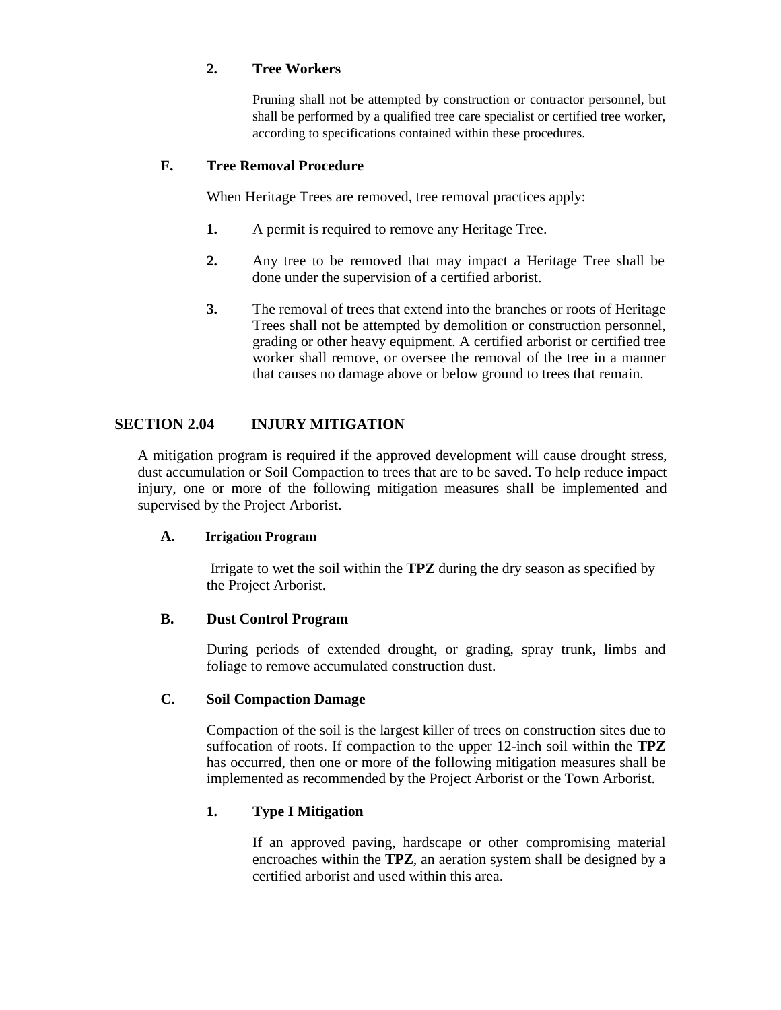## **2. Tree Workers**

Pruning shall not be attempted by construction or contractor personnel, but shall be performed by a qualified tree care specialist or certified tree worker, according to specifications contained within these procedures.

## **F. Tree Removal Procedure**

When Heritage Trees are removed, tree removal practices apply:

- **1.** A permit is required to remove any Heritage Tree.
- **2.** Any tree to be removed that may impact a Heritage Tree shall be done under the supervision of a certified arborist.
- **3.** The removal of trees that extend into the branches or roots of Heritage Trees shall not be attempted by demolition or construction personnel, grading or other heavy equipment. A certified arborist or certified tree worker shall remove, or oversee the removal of the tree in a manner that causes no damage above or below ground to trees that remain.

## **SECTION 2.04 INJURY MITIGATION**

A mitigation program is required if the approved development will cause drought stress, dust accumulation or Soil Compaction to trees that are to be saved. To help reduce impact injury, one or more of the following mitigation measures shall be implemented and supervised by the Project Arborist.

## **A**. **Irrigation Program**

Irrigate to wet the soil within the **TPZ** during the dry season as specified by the Project Arborist.

## **B. Dust Control Program**

During periods of extended drought, or grading, spray trunk, limbs and foliage to remove accumulated construction dust.

## **C. Soil Compaction Damage**

Compaction of the soil is the largest killer of trees on construction sites due to suffocation of roots. If compaction to the upper 12-inch soil within the **TPZ** has occurred, then one or more of the following mitigation measures shall be implemented as recommended by the Project Arborist or the Town Arborist.

## **1. Type I Mitigation**

If an approved paving, hardscape or other compromising material encroaches within the **TPZ**, an aeration system shall be designed by a certified arborist and used within this area.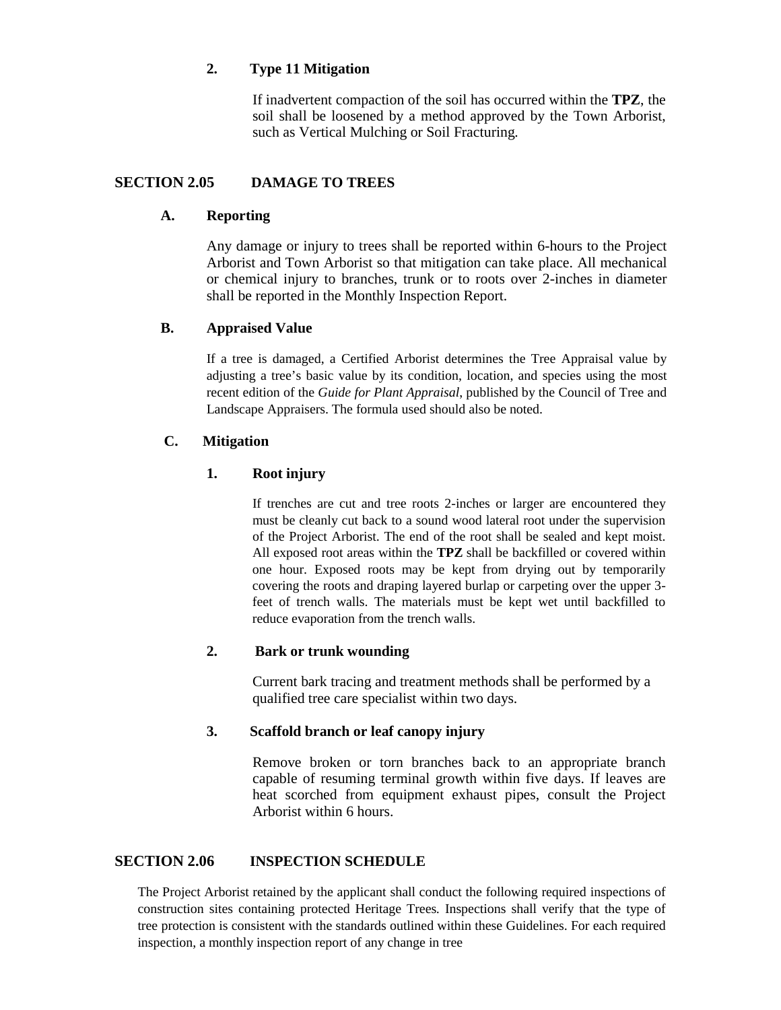## **2. Type 11 Mitigation**

If inadvertent compaction of the soil has occurred within the **TPZ**, the soil shall be loosened by a method approved by the Town Arborist, such as Vertical Mulching or Soil Fracturing*.*

## **SECTION 2.05 DAMAGE TO TREES**

## **A. Reporting**

Any damage or injury to trees shall be reported within 6-hours to the Project Arborist and Town Arborist so that mitigation can take place. All mechanical or chemical injury to branches, trunk or to roots over 2-inches in diameter shall be reported in the Monthly Inspection Report.

## **B. Appraised Value**

If a tree is damaged, a Certified Arborist determines the Tree Appraisal value by adjusting a tree's basic value by its condition, location, and species using the most recent edition of the *Guide for Plant Appraisal*, published by the Council of Tree and Landscape Appraisers. The formula used should also be noted.

## **C. Mitigation**

## **1. Root injury**

If trenches are cut and tree roots 2-inches or larger are encountered they must be cleanly cut back to a sound wood lateral root under the supervision of the Project Arborist. The end of the root shall be sealed and kept moist. All exposed root areas within the **TPZ** shall be backfilled or covered within one hour. Exposed roots may be kept from drying out by temporarily covering the roots and draping layered burlap or carpeting over the upper 3 feet of trench walls. The materials must be kept wet until backfilled to reduce evaporation from the trench walls.

## **2. Bark or trunk wounding**

Current bark tracing and treatment methods shall be performed by a qualified tree care specialist within two days.

## **3. Scaffold branch or leaf canopy injury**

Remove broken or torn branches back to an appropriate branch capable of resuming terminal growth within five days. If leaves are heat scorched from equipment exhaust pipes, consult the Project Arborist within 6 hours.

## **SECTION 2.06 INSPECTION SCHEDULE**

The Project Arborist retained by the applicant shall conduct the following required inspections of construction sites containing protected Heritage Trees*.* Inspections shall verify that the type of tree protection is consistent with the standards outlined within these Guidelines. For each required inspection, a monthly inspection report of any change in tree